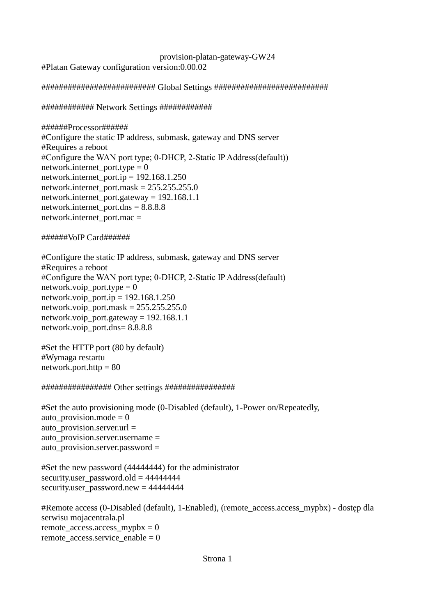provision-platan-gateway-GW24 #Platan Gateway configuration version:0.00.02

########################## Global Settings ##########################

############ Network Settings ############

######Processor###### #Configure the static IP address, submask, gateway and DNS server #Requires a reboot #Configure the WAN port type; 0-DHCP, 2-Static IP Address(default)) network.internet\_port.type =  $0$ network.internet\_port.ip = 192.168.1.250 network.internet\_port.mask =  $255.255.255.0$ network.internet\_port.gateway =  $192.168.1.1$ network.internet port.dns  $= 8.8.8.8$ network.internet\_port.mac =

# ######VoIP Card######

#Configure the static IP address, submask, gateway and DNS server #Requires a reboot #Configure the WAN port type; 0-DHCP, 2-Static IP Address(default) network.voip port.type  $= 0$ network.voip\_port.ip =  $192.168.1.250$ network.voip\_port.mask =  $255.255.255.0$ network.voip\_port.gateway =  $192.168.1.1$ network.voip\_port.dns= 8.8.8.8

#Set the HTTP port (80 by default) #Wymaga restartu network.port.http  $= 80$ 

# ################ Other settings ################

#Set the auto provisioning mode (0-Disabled (default), 1-Power on/Repeatedly, auto provision.mode  $= 0$ auto\_provision.server.url = auto provision.server.username  $=$ auto\_provision.server.password =

#Set the new password (44444444) for the administrator security.user\_password.old =  $44444444$ security.user\_password.new = 44444444

#Remote access (0-Disabled (default), 1-Enabled), (remote\_access.access\_mypbx) - dostęp dla serwisu mojacentrala.pl remote\_access.access\_mypbx =  $0$ remote  $access.\n$ service enable = 0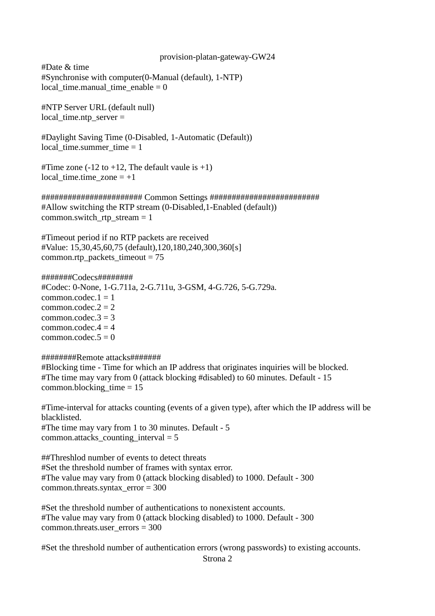#Date & time #Synchronise with computer(0-Manual (default), 1-NTP) local time.manual time enable  $= 0$ 

#NTP Server URL (default null) local time.ntp  $s$ erver  $=$ 

#Daylight Saving Time (0-Disabled, 1-Automatic (Default)) local time.summer time  $= 1$ 

#Time zone  $(-12 \text{ to } +12)$ , The default vaule is  $+1$ )  $local_time.time\_zone = +1$ 

####################### Common Settings ######################### #Allow switching the RTP stream (0-Disabled,1-Enabled (default)) common.switch rtp stream  $= 1$ 

#Timeout period if no RTP packets are received #Value: 15,30,45,60,75 (default),120,180,240,300,360[s] common.rtp\_packets\_timeout = 75

### #######Codecs########

#Codec: 0-None, 1-G.711a, 2-G.711u, 3-GSM, 4-G.726, 5-G.729a. common.codec. $1 = 1$ common.codec. $2 = 2$ common.codec. $3 = 3$ common.codec. $4 = 4$  $commoncodec.5 = 0$ 

#### ########Remote attacks#######

#Blocking time - Time for which an IP address that originates inquiries will be blocked. #The time may vary from 0 (attack blocking #disabled) to 60 minutes. Default - 15 common.blocking\_time  $= 15$ 

#Time-interval for attacks counting (events of a given type), after which the IP address will be blacklisted. #The time may vary from 1 to 30 minutes. Default - 5

common.attacks\_counting\_interval = 5

##Threshlod number of events to detect threats #Set the threshold number of frames with syntax error. #The value may vary from 0 (attack blocking disabled) to 1000. Default - 300 common.threats.syntax\_error = 300

#Set the threshold number of authentications to nonexistent accounts. #The value may vary from 0 (attack blocking disabled) to 1000. Default - 300 common.threats.user  $\text{errors} = 300$ 

#Set the threshold number of authentication errors (wrong passwords) to existing accounts.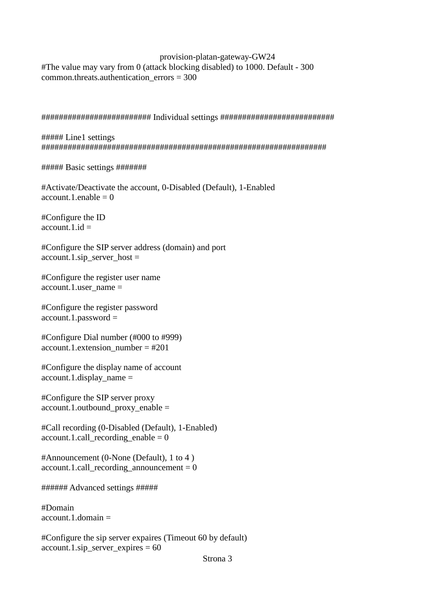provision-platan-gateway-GW24 #The value may vary from 0 (attack blocking disabled) to 1000. Default - 300 common.threats.authentication\_errors =  $300$ 

######################### Individual settings ##########################

##### Line1 settings #################################################################

##### Basic settings #######

#Activate/Deactivate the account, 0-Disabled (Default), 1-Enabled account.1.enable  $= 0$ 

#Configure the ID  $account.1.id =$ 

#Configure the SIP server address (domain) and port  $account.1.\sin\_server\_host =$ 

#Configure the register user name account.1.user  $name =$ 

#Configure the register password  $account.1.password =$ 

#Configure Dial number (#000 to #999) account.1.extension\_number =  $#201$ 

#Configure the display name of account  $account.1.$ display  $name =$ 

#Configure the SIP server proxy account.1.outbound\_proxy\_enable =

#Call recording (0-Disabled (Default), 1-Enabled)  $account.1.call\_reording\_enable = 0$ 

#Announcement (0-None (Default), 1 to 4 )  $account.1.call\_reording\_announcement =  $0$$ 

###### Advanced settings #####

#Domain  $account.1.$ domain  $=$ 

#Configure the sip server expaires (Timeout 60 by default)  $account.1.\sin_$  server\_expires = 60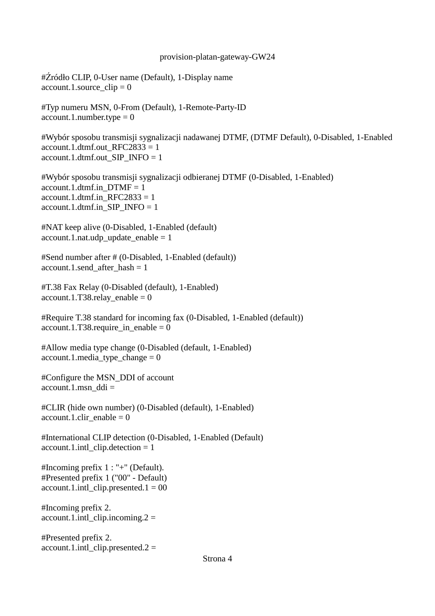#Źródło CLIP, 0-User name (Default), 1-Display name  $account.1$ .source\_clip = 0

#Typ numeru MSN, 0-From (Default), 1-Remote-Party-ID  $account.1.number.type = 0$ 

#Wybór sposobu transmisji sygnalizacji nadawanej DTMF, (DTMF Default), 0-Disabled, 1-Enabled account.1.dtmf.out  $RFC2833 = 1$ account.1.dtmf.out SIP\_INFO = 1

#Wybór sposobu transmisji sygnalizacji odbieranej DTMF (0-Disabled, 1-Enabled) account.1.dtmf.in  $DTMF = 1$ account.1.dtmf.in  $RFC2833 = 1$ account.1.dtmf.in  $SIP$  INFO = 1

#NAT keep alive (0-Disabled, 1-Enabled (default) account.1.nat.udp update enable  $= 1$ 

#Send number after # (0-Disabled, 1-Enabled (default)) account.1.send after hash  $= 1$ 

#T.38 Fax Relay (0-Disabled (default), 1-Enabled)  $account.1.T38. relay\_enable = 0$ 

#Require T.38 standard for incoming fax (0-Disabled, 1-Enabled (default)) account.1.T38.require in enable = 0

#Allow media type change (0-Disabled (default, 1-Enabled)  $account.1.\\ media\_type\_change = 0$ 

#Configure the MSN\_DDI of account  $account.1.msn\_ddi =$ 

#CLIR (hide own number) (0-Disabled (default), 1-Enabled) account.1.clir\_enable  $= 0$ 

#International CLIP detection (0-Disabled, 1-Enabled (Default)  $account.1.int1$  clip.detection = 1

#Incoming prefix 1 : "+" (Default). #Presented prefix 1 ("00" - Default)  $account.1.int1_clip.presented.1 = 00$ 

#Incoming prefix 2.  $account.1.intl_clip.incoming.2 =$ 

#Presented prefix 2.  $account.1.int1_clip.presented.2 =$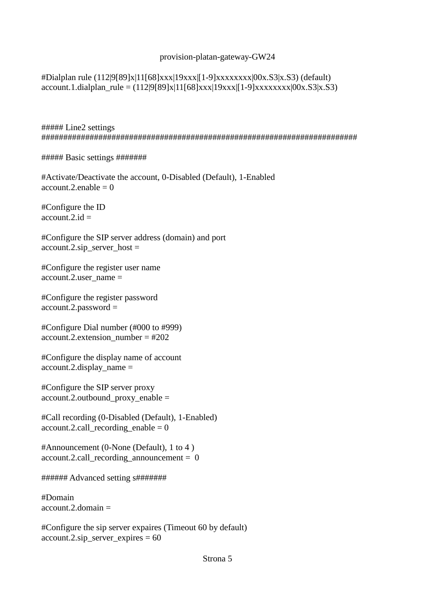#Dialplan rule (112|9[89]x|11[68]xxx|19xxx|[1-9]xxxxxxxx|00x.S3|x.S3) (default) account.1.dialplan\_rule =  $(112|9[89]x|11[68]xxx|19xxx|1-9]xxxxxxx1|00x.S3|x.S3)$ 

##### Line2 settings ########################################################################

##### Basic settings #######

#Activate/Deactivate the account, 0-Disabled (Default), 1-Enabled  $account.2.enable = 0$ 

#Configure the ID  $account.2.id =$ 

#Configure the SIP server address (domain) and port account.2.sip\_server\_host =

#Configure the register user name  $account.2.user_name =$ 

#Configure the register password account.2.password =

#Configure Dial number (#000 to #999) account.2.extension\_number = #202

#Configure the display name of account account.2.display\_name =

#Configure the SIP server proxy account.2.outbound\_proxy\_enable =

#Call recording (0-Disabled (Default), 1-Enabled)  $account.2.call\_reording\_enable = 0$ 

#Announcement (0-None (Default), 1 to 4 )  $account.2.call recording announcement = 0$ 

###### Advanced setting s#######

#Domain  $account.2.domain =$ 

#Configure the sip server expaires (Timeout 60 by default) account.2.sip server expires  $= 60$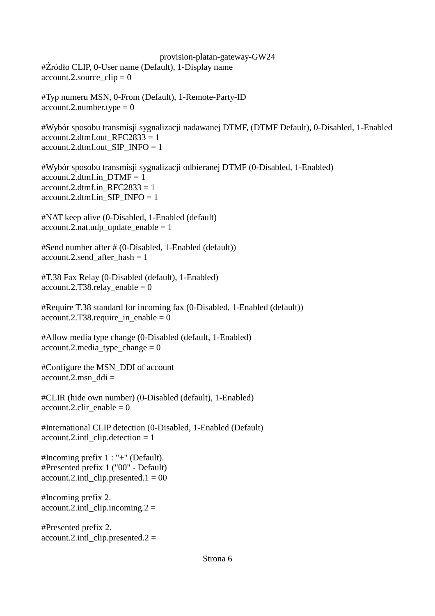provision-platan-gateway-GW24 #Źródło CLIP, 0-User name (Default), 1-Display name account.2.source  $clip = 0$ 

#Typ numeru MSN, 0-From (Default), 1-Remote-Party-ID  $account.2.number.type = 0$ 

#Wybór sposobu transmisji sygnalizacji nadawanej DTMF, (DTMF Default), 0-Disabled, 1-Enabled account.2.dtmf.out  $RFC2833 = 1$ account.2.dtmf.out\_SIP\_INFO = 1

#Wybór sposobu transmisji sygnalizacji odbieranej DTMF (0-Disabled, 1-Enabled)  $account.2.dtmf.in$   $DTMF = 1$ account.2.dtmf.in  $RFC2833 = 1$  $account.2.dtmf.in\_SIP\_INFO = 1$ 

#NAT keep alive (0-Disabled, 1-Enabled (default)  $account.2.nat.udy\_update\_enable = 1$ 

#Send number after # (0-Disabled, 1-Enabled (default)) account.2.send\_after\_hash = 1

#T.38 Fax Relay (0-Disabled (default), 1-Enabled)  $account.2.T38. relay\_enable = 0$ 

#Require T.38 standard for incoming fax (0-Disabled, 1-Enabled (default)) account.2.T38.require in enable = 0

#Allow media type change (0-Disabled (default, 1-Enabled)  $account.2.media\_type\_change = 0$ 

#Configure the MSN\_DDI of account  $account.2.msn$  ddi =

#CLIR (hide own number) (0-Disabled (default), 1-Enabled)  $account.2.clir\_enable = 0$ 

#International CLIP detection (0-Disabled, 1-Enabled (Default) account.2.intl\_clip.detection = 1

#Incoming prefix 1 : "+" (Default). #Presented prefix 1 ("00" - Default)  $account.2.int\_clip.presented.1 = 00$ 

#Incoming prefix 2.  $account.2.int\_clip.incoming.2 =$ 

#Presented prefix 2. account.2.intl clip.presented.2 =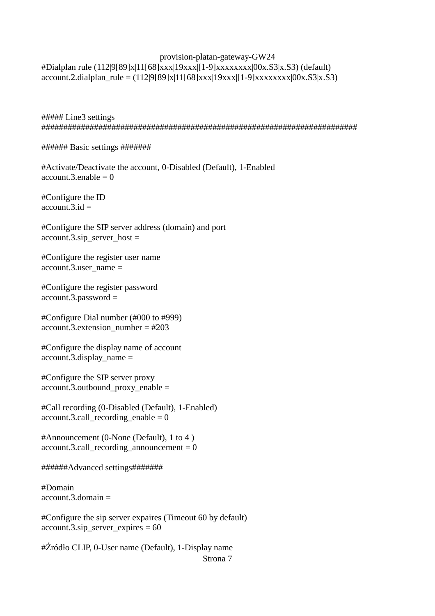## provision-platan-gateway-GW24 #Dialplan rule (112|9[89]x|11[68]xxx|19xxx|[1-9]xxxxxxxx|00x.S3|x.S3) (default)  $account.2. dialplan\_rule = (112|9[89]x|11[68]xxx|19xxx|[1-9]xxxxxxxx|00x.S3|x.S3)$

##### Line3 settings ########################################################################

###### Basic settings #######

#Activate/Deactivate the account, 0-Disabled (Default), 1-Enabled  $account.3.enable = 0$ 

#Configure the ID  $\text{account.3.id}$ 

#Configure the SIP server address (domain) and port  $account.3.\sin\_server\_host =$ 

#Configure the register user name account.3.user  $name =$ 

#Configure the register password account.3.password =

#Configure Dial number (#000 to #999) account.3.extension\_number =  $#203$ 

#Configure the display name of account account.3.display\_name =

#Configure the SIP server proxy account.3.outbound\_proxy\_enable =

#Call recording (0-Disabled (Default), 1-Enabled) account.3.call recording enable  $= 0$ 

#Announcement (0-None (Default), 1 to 4 ) account.3.call\_recording\_announcement =  $0$ 

######Advanced settings#######

#Domain  $account.3.$ domain  $=$ 

#Configure the sip server expaires (Timeout 60 by default)  $account.3.\sin\_server\_expires = 60$ 

#Źródło CLIP, 0-User name (Default), 1-Display name Strona 7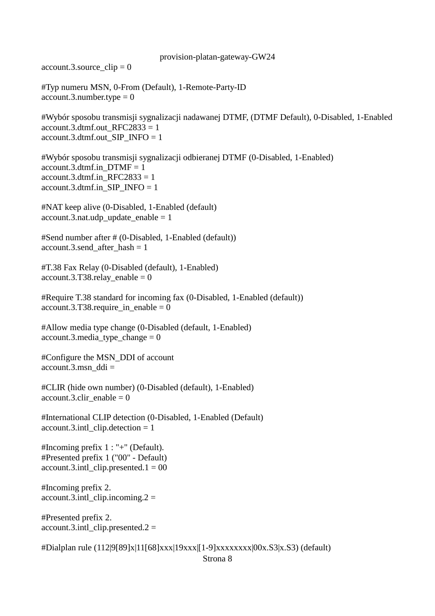$account.3$ .source\_clip = 0

#Typ numeru MSN, 0-From (Default), 1-Remote-Party-ID  $account.3.number.type = 0$ 

#Wybór sposobu transmisji sygnalizacji nadawanej DTMF, (DTMF Default), 0-Disabled, 1-Enabled account.3.dtmf.out\_RFC2833 = 1 account.3.dtmf.out  $SIP$  INFO = 1

#Wybór sposobu transmisji sygnalizacji odbieranej DTMF (0-Disabled, 1-Enabled) account.3.dtmf.in  $DTMF = 1$ account.3.dtmf.in  $RFC2833 = 1$  $account.3.dtmf.in\_SIP\_INFO = 1$ 

#NAT keep alive (0-Disabled, 1-Enabled (default) account.3.nat.udp update enable  $= 1$ 

#Send number after # (0-Disabled, 1-Enabled (default)) account.3.send after hash  $= 1$ 

#T.38 Fax Relay (0-Disabled (default), 1-Enabled)  $account.3.T38. relay\_enable = 0$ 

#Require T.38 standard for incoming fax (0-Disabled, 1-Enabled (default))  $account.3.T38.require_in\_enable = 0$ 

#Allow media type change (0-Disabled (default, 1-Enabled)  $account.3.media\_type\_change = 0$ 

#Configure the MSN\_DDI of account  $account.3.msn$  ddi =

#CLIR (hide own number) (0-Disabled (default), 1-Enabled) account.3.clir enable =  $0$ 

#International CLIP detection (0-Disabled, 1-Enabled (Default) account.3.intl\_clip.detection = 1

#Incoming prefix 1 : "+" (Default). #Presented prefix 1 ("00" - Default)  $account.3.intl_clip.presented.1 = 00$ 

#Incoming prefix 2. account.3.intl clip.incoming.2 =

#Presented prefix 2.  $account.3.intl$  clip.presented.2 =

#Dialplan rule (112|9[89]x|11[68]xxx|19xxx|[1-9]xxxxxxxx|00x.S3|x.S3) (default)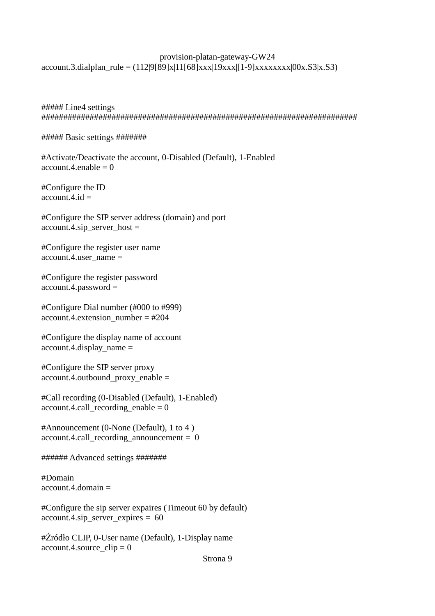# provision-platan-gateway-GW24  $account.3.dialplan\_rule = (112|9[89]x|11[68]xxx|19xxx|[1-9]xxxxxxx|00x.S3|x.S3)$

##### Line4 settings ########################################################################

#### ##### Basic settings #######

#Activate/Deactivate the account, 0-Disabled (Default), 1-Enabled  $account.4.enable = 0$ 

#Configure the ID account  $4$  id  $=$ 

#Configure the SIP server address (domain) and port  $account.4.\sin\_server\_host =$ 

#Configure the register user name  $account.4.user name =$ 

#Configure the register password account.4.password =

#Configure Dial number (#000 to #999) account.4.extension\_number =  $#204$ 

#Configure the display name of account account.4.display\_name =

#Configure the SIP server proxy account.4.outbound proxy enable  $=$ 

#Call recording (0-Disabled (Default), 1-Enabled)  $account.4.call\_reording\_enable = 0$ 

#Announcement (0-None (Default), 1 to 4 ) account.4.call\_recording\_announcement = 0

###### Advanced settings #######

#Domain  $account.4.domain =$ 

#Configure the sip server expaires (Timeout 60 by default) account.4.sip\_server\_expires = 60

#Źródło CLIP, 0-User name (Default), 1-Display name  $account.4$ .source\_clip = 0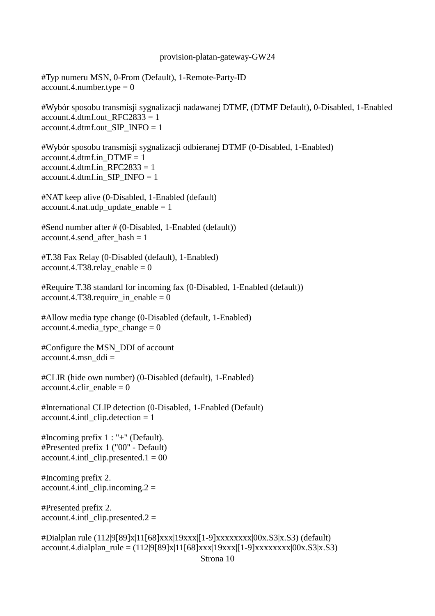#Typ numeru MSN, 0-From (Default), 1-Remote-Party-ID  $account.4.number.type = 0$ 

#Wybór sposobu transmisji sygnalizacji nadawanej DTMF, (DTMF Default), 0-Disabled, 1-Enabled  $account.4.dmf.out_RFC2833 = 1$ account.4.dtmf.out\_SIP\_INFO = 1

#Wybór sposobu transmisji sygnalizacji odbieranej DTMF (0-Disabled, 1-Enabled)  $account.4.dtmf.inDTMF = 1$ account.4.dtmf.in  $RFC2833 = 1$  $account.4.dtmf.in\_SIP\_INFO = 1$ 

#NAT keep alive (0-Disabled, 1-Enabled (default) account.4.nat.udp update enable  $= 1$ 

#Send number after # (0-Disabled, 1-Enabled (default)) account.4.send after hash  $= 1$ 

#T.38 Fax Relay (0-Disabled (default), 1-Enabled)  $account.4.T38. relay\_enable = 0$ 

#Require T.38 standard for incoming fax (0-Disabled, 1-Enabled (default))  $account.4.T38.require_in\_enable = 0$ 

#Allow media type change (0-Disabled (default, 1-Enabled) account.4.media type change  $= 0$ 

#Configure the MSN\_DDI of account  $account.4.msn$  ddi =

#CLIR (hide own number) (0-Disabled (default), 1-Enabled)  $account.4.clir\_enable = 0$ 

#International CLIP detection (0-Disabled, 1-Enabled (Default)  $account.4.int1$  clip.detection = 1

#Incoming prefix 1 : "+" (Default). #Presented prefix 1 ("00" - Default) account.4.intl clip.presented.1 =  $00$ 

#Incoming prefix 2.  $account.4.int1$  clip.incoming.  $2 =$ 

#Presented prefix 2.  $account.4.intl_clip.presented.2 =$ 

#Dialplan rule (112|9[89]x|11[68]xxx|19xxx|[1-9]xxxxxxxx|00x.S3|x.S3) (default)  $account.4.dialplan\_rule = (112|9[89]x|11[68]xxx|19xxx|[1-9]xxxxxxx|00x.S3|x.S3)$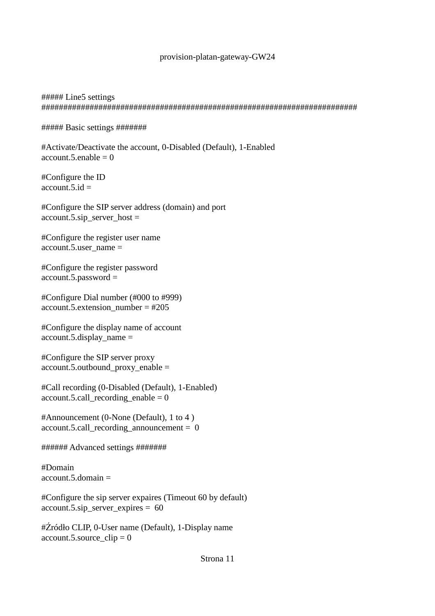# ##### Line5 settings ########################################################################

# ##### Basic settings #######

#Activate/Deactivate the account, 0-Disabled (Default), 1-Enabled  $account.5.enable = 0$ 

#Configure the ID  $account.5.id =$ 

#Configure the SIP server address (domain) and port account.5.sip\_server\_host =

#Configure the register user name account.5.user  $name =$ 

#Configure the register password account.5.password =

#Configure Dial number (#000 to #999) account.5.extension\_number =  $\text{\#205}$ 

#Configure the display name of account account.5.display\_name =

#Configure the SIP server proxy account.5.outbound\_proxy\_enable =

#Call recording (0-Disabled (Default), 1-Enabled) account.5.call recording enable  $= 0$ 

#Announcement (0-None (Default), 1 to 4 ) account.5.call\_recording\_announcement = 0

###### Advanced settings #######

#Domain  $account.5.domain =$ 

#Configure the sip server expaires (Timeout 60 by default) account.5.sip\_server\_expires = 60

#Źródło CLIP, 0-User name (Default), 1-Display name account.5.source  $clip = 0$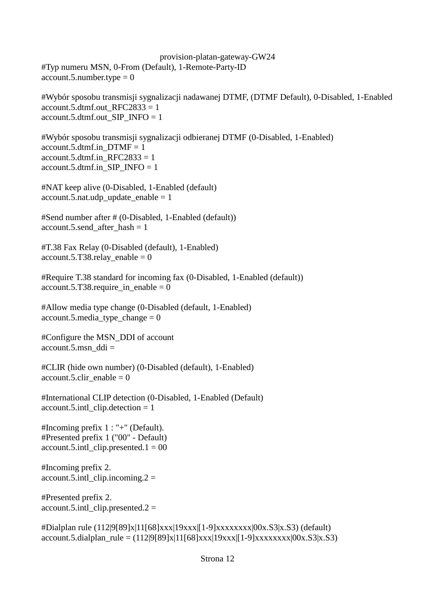provision-platan-gateway-GW24 #Typ numeru MSN, 0-From (Default), 1-Remote-Party-ID  $account.5.number.type = 0$ 

#Wybór sposobu transmisji sygnalizacji nadawanej DTMF, (DTMF Default), 0-Disabled, 1-Enabled  $account.5.dtmf.out_RFC2833 = 1$ account.5.dtmf.out SIP\_INFO =  $1$ 

#Wybór sposobu transmisji sygnalizacji odbieranej DTMF (0-Disabled, 1-Enabled) account.5.dtmf.in  $DTMF = 1$ account.5.dtmf.in  $RFC2833 = 1$  $account.5.dtmf.in$   $SIP$   $INFO = 1$ 

#NAT keep alive (0-Disabled, 1-Enabled (default)  $account.5.nat.ugh\_update\_enable = 1$ 

#Send number after # (0-Disabled, 1-Enabled (default)) account.5.send\_after\_hash = 1

#T.38 Fax Relay (0-Disabled (default), 1-Enabled)  $account.5.T38. relay\_enable = 0$ 

#Require T.38 standard for incoming fax (0-Disabled, 1-Enabled (default))  $account.5.T38.require_in\_enable = 0$ 

#Allow media type change (0-Disabled (default, 1-Enabled)  $account.5.\\ media\_type\_change = 0$ 

#Configure the MSN\_DDI of account  $account.5.msn$  ddi =

#CLIR (hide own number) (0-Disabled (default), 1-Enabled)  $account.5.clir$  enable = 0

#International CLIP detection (0-Disabled, 1-Enabled (Default)  $account.5.int1$  clip.detection = 1

#Incoming prefix 1 : "+" (Default). #Presented prefix 1 ("00" - Default)  $account.5.intl$  clip.presented.1 = 00

#Incoming prefix 2.  $account.5.int1$  clip.incoming.  $2 =$ 

#Presented prefix 2.  $account.5.intl_clip.presented.2 =$ 

#Dialplan rule (112|9[89]x|11[68]xxx|19xxx|[1-9]xxxxxxxx|00x.S3|x.S3) (default) account.5.dialplan\_rule =  $(112|9[89]x|11[68]xxx|19xxx|19xxx|19xxxxxx|00x.S3|x.S3)$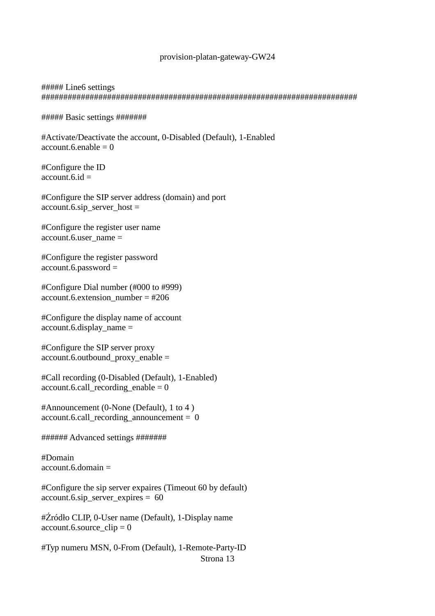# ##### Line6 settings ########################################################################

##### Basic settings #######

#Activate/Deactivate the account, 0-Disabled (Default), 1-Enabled  $account.6.enable = 0$ 

#Configure the ID  $account.6.id =$ 

#Configure the SIP server address (domain) and port account.6.sip\_server\_host =

#Configure the register user name account.6.user  $name =$ 

#Configure the register password account.6.password =

#Configure Dial number (#000 to #999) account.6.extension\_number = #206

#Configure the display name of account  $account.6. display$  name  $=$ 

#Configure the SIP server proxy account.6.outbound\_proxy\_enable =

#Call recording (0-Disabled (Default), 1-Enabled)  $account.6.call\_reording\_enable = 0$ 

#Announcement (0-None (Default), 1 to 4 )  $account.6. call recording announcement = 0$ 

###### Advanced settings #######

#Domain account.6.domain =

#Configure the sip server expaires (Timeout 60 by default) account.6.sip\_server\_expires =  $60$ 

#Źródło CLIP, 0-User name (Default), 1-Display name account.6.source  $clip = 0$ 

#Typ numeru MSN, 0-From (Default), 1-Remote-Party-ID Strona 13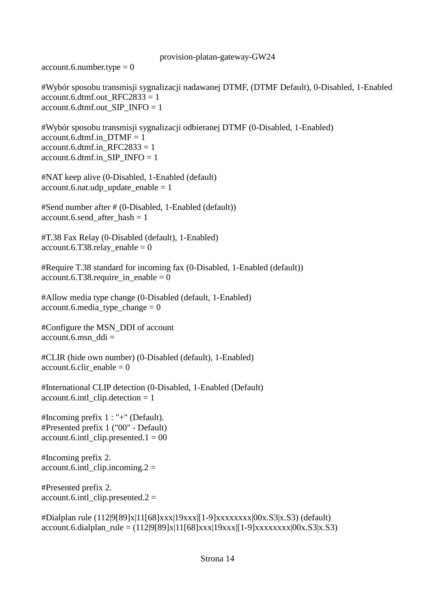$account.6.number.type =  $0$$ 

#Wybór sposobu transmisji sygnalizacji nadawanej DTMF, (DTMF Default), 0-Disabled, 1-Enabled account.6.dtmf.out  $RFC2833 = 1$ account.6.dtmf.out\_SIP\_INFO = 1

#Wybór sposobu transmisji sygnalizacji odbieranej DTMF (0-Disabled, 1-Enabled) account.6.dtmf.in  $DTMF = 1$ account.6.dtmf.in  $RFC2833 = 1$ account.6.dtmf.in SIP\_INFO =  $1$ 

#NAT keep alive (0-Disabled, 1-Enabled (default)  $account.6.nat.udy\_update\_enable = 1$ 

#Send number after # (0-Disabled, 1-Enabled (default)) account.6.send after hash  $= 1$ 

#T.38 Fax Relay (0-Disabled (default), 1-Enabled) account.6.T38.relay\_enable =  $0$ 

#Require T.38 standard for incoming fax (0-Disabled, 1-Enabled (default)) account.6.T38.require in enable = 0

#Allow media type change (0-Disabled (default, 1-Enabled)  $account.6.media\_type\_change = 0$ 

#Configure the MSN\_DDI of account account.6.msn\_ddi =

#CLIR (hide own number) (0-Disabled (default), 1-Enabled)  $account.6.clir$  enable = 0

#International CLIP detection (0-Disabled, 1-Enabled (Default) account.6.intl\_clip.detection = 1

#Incoming prefix 1 : "+" (Default). #Presented prefix 1 ("00" - Default)  $account.6.intl_clip.presented.1 = 00$ 

#Incoming prefix 2.  $account.6.intl_clip.incoming.2 =$ 

#Presented prefix 2. account.6.intl clip.presented.2 =

#Dialplan rule (112|9[89]x|11[68]xxx|19xxx|[1-9]xxxxxxxx|00x.S3|x.S3) (default)  $account.6. dialplan\_rule = (112|9[89]x|11[68]xxx|19xxx|[1-9]xxxxxxx[x00x.S3]x.S3)$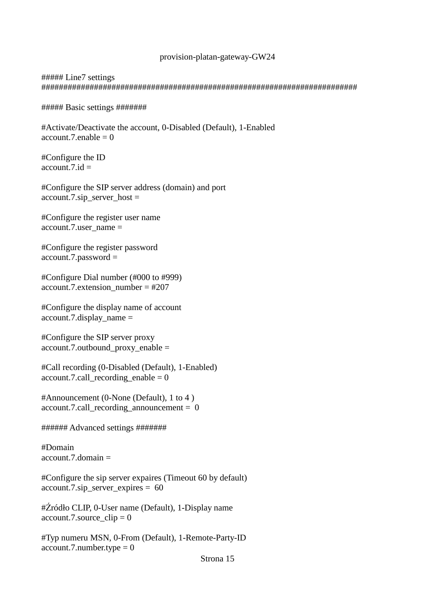### ##### Line7 settings ########################################################################

##### Basic settings #######

#Activate/Deactivate the account, 0-Disabled (Default), 1-Enabled  $account.7.enable = 0$ 

#Configure the ID account.7. $id =$ 

#Configure the SIP server address (domain) and port  $account.7.\sip\_server\_host =$ 

#Configure the register user name account.7.user  $name =$ 

#Configure the register password account.7.password =

#Configure Dial number (#000 to #999) account.7.extension\_number =  $\text{\#207}$ 

#Configure the display name of account  $account.7.$ display  $name =$ 

#Configure the SIP server proxy account.7.outbound\_proxy\_enable =

#Call recording (0-Disabled (Default), 1-Enabled) account.7.call\_recording\_enable =  $0$ 

#Announcement (0-None (Default), 1 to 4 )  $account.7.call\_recording\_announcement =  $0$$ 

###### Advanced settings #######

#Domain  $account.7.$ domain  $=$ 

#Configure the sip server expaires (Timeout 60 by default) account.7.sip\_server\_expires = 60

#Źródło CLIP, 0-User name (Default), 1-Display name  $account.7$ .source\_clip = 0

#Typ numeru MSN, 0-From (Default), 1-Remote-Party-ID  $account.7.number.type =  $0$$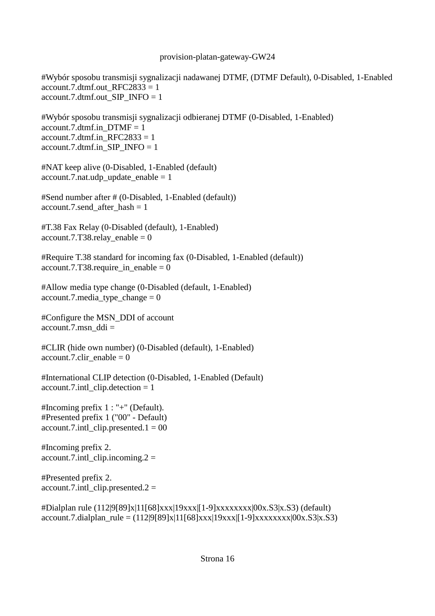#Wybór sposobu transmisji sygnalizacji nadawanej DTMF, (DTMF Default), 0-Disabled, 1-Enabled account.7.dtmf.out  $RFC2833 = 1$ account.7.dtmf.out\_SIP\_INFO = 1

#Wybór sposobu transmisji sygnalizacji odbieranej DTMF (0-Disabled, 1-Enabled) account.7.dtmf.in  $DTMF = 1$ account.7.dtmf.in  $RFC2833 = 1$  $account.7.dtmf.in\_SIP\_INFO = 1$ 

#NAT keep alive (0-Disabled, 1-Enabled (default)  $account.7.nat.udy\_update\_enable = 1$ 

#Send number after # (0-Disabled, 1-Enabled (default)) account.7.send after hash  $= 1$ 

#T.38 Fax Relay (0-Disabled (default), 1-Enabled) account.7.T38.relay enable =  $0$ 

#Require T.38 standard for incoming fax (0-Disabled, 1-Enabled (default))  $account.7.T38.require_in\_enable = 0$ 

#Allow media type change (0-Disabled (default, 1-Enabled)  $account.7.\\median\_type\_change = 0$ 

#Configure the MSN\_DDI of account  $account.7.msn$   $ddi =$ 

#CLIR (hide own number) (0-Disabled (default), 1-Enabled) account.7.clir enable  $= 0$ 

#International CLIP detection (0-Disabled, 1-Enabled (Default) account.7.intl\_clip.detection = 1

#Incoming prefix 1 : "+" (Default). #Presented prefix 1 ("00" - Default)  $account.7.int1$  clip.presented.1 = 00

#Incoming prefix 2. account.7.intl clip.incoming.2 =

#Presented prefix 2.  $account.7.int1$  clip.presented.2 =

#Dialplan rule (112|9[89]x|11[68]xxx|19xxx|[1-9]xxxxxxxx|00x.S3|x.S3) (default)  $account.7. dialplan\_rule = (112|9[89]x|11[68]xxx|19xxx|[1-9]xxxxxxx|00x.S3|x.S3)$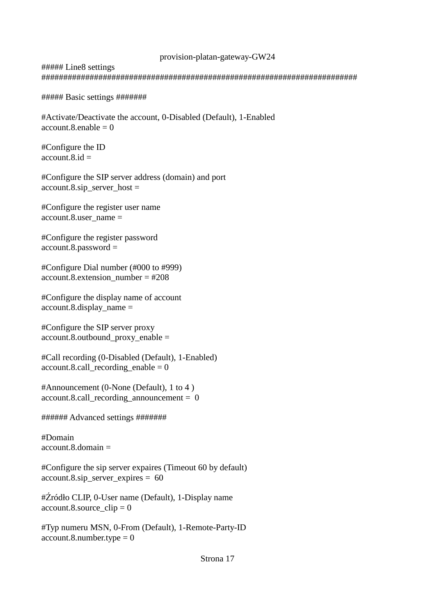# ##### Line8 settings ########################################################################

##### Basic settings #######

```
#Activate/Deactivate the account, 0-Disabled (Default), 1-Enabled 
account.8.enable = 0
```
#Configure the ID  $account.8.id =$ 

#Configure the SIP server address (domain) and port  $account.8.\sin\_server\_host =$ 

#Configure the register user name account.8.user  $name =$ 

#Configure the register password account.8.password =

#Configure Dial number (#000 to #999) account.8.extension\_number =  $#208$ 

#Configure the display name of account account.8.display\_name =

#Configure the SIP server proxy account.8.outbound\_proxy\_enable =

#Call recording (0-Disabled (Default), 1-Enabled) account.8.call recording enable  $= 0$ 

#Announcement (0-None (Default), 1 to 4 ) account.8.call recording announcement  $= 0$ 

###### Advanced settings #######

#Domain  $account.8.$ domain  $=$ 

#Configure the sip server expaires (Timeout 60 by default)  $account.8.\dot{sp\_server\_expires} = 60$ 

#Źródło CLIP, 0-User name (Default), 1-Display name  $account.8$ .source\_clip = 0

#Typ numeru MSN, 0-From (Default), 1-Remote-Party-ID  $account.8.$ number.type = 0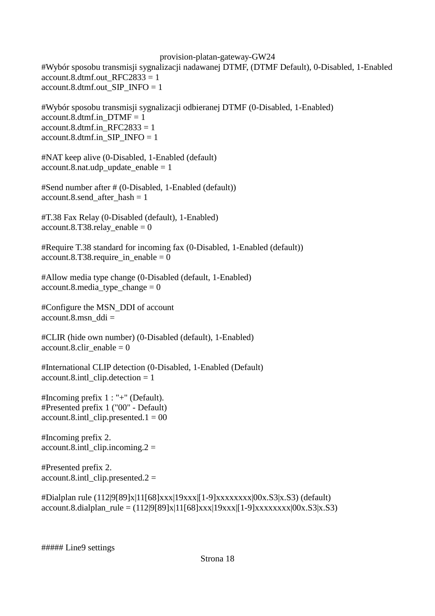#Wybór sposobu transmisji sygnalizacji nadawanej DTMF, (DTMF Default), 0-Disabled, 1-Enabled account.8.dtmf.out  $RFC2833 = 1$ account.8.dtmf.out SIP\_INFO =  $1$ 

#Wybór sposobu transmisji sygnalizacji odbieranej DTMF (0-Disabled, 1-Enabled) account.8.dtmf.in  $DTMF = 1$ account.8.dtmf.in  $RFC2833 = 1$  $account.8.dtmf.in\_SIP\_INFO = 1$ 

#NAT keep alive (0-Disabled, 1-Enabled (default)  $account.8.nat.ugh\_update\_enable = 1$ 

#Send number after # (0-Disabled, 1-Enabled (default)) account.8.send after hash  $= 1$ 

#T.38 Fax Relay (0-Disabled (default), 1-Enabled)  $account.8.T38. relay\_enable = 0$ 

#Require T.38 standard for incoming fax (0-Disabled, 1-Enabled (default))  $account.8.T38.require_in\_enable = 0$ 

#Allow media type change (0-Disabled (default, 1-Enabled) account.8.media type change  $= 0$ 

#Configure the MSN\_DDI of account  $account.8.msn$  ddi =

#CLIR (hide own number) (0-Disabled (default), 1-Enabled)  $account.8. \text{clir\_enable} = 0$ 

#International CLIP detection (0-Disabled, 1-Enabled (Default)  $account.8.int1$  clip.detection = 1

#Incoming prefix 1 : "+" (Default). #Presented prefix 1 ("00" - Default) account.8.intl clip.presented.1 =  $00$ 

#Incoming prefix 2.  $account.8.int1$  clip.incoming.  $2 =$ 

#Presented prefix 2.  $account.8.int1$  clip.presented.2 =

#Dialplan rule (112|9[89]x|11[68]xxx|19xxx|[1-9]xxxxxxxx|00x.S3|x.S3) (default)  $account.8.dialplan\_rule = (112|9[89]x|11[68]xxx|19xxx|[1-9]xxxxxxx|00x.S3|x.S3)$ 

##### Line9 settings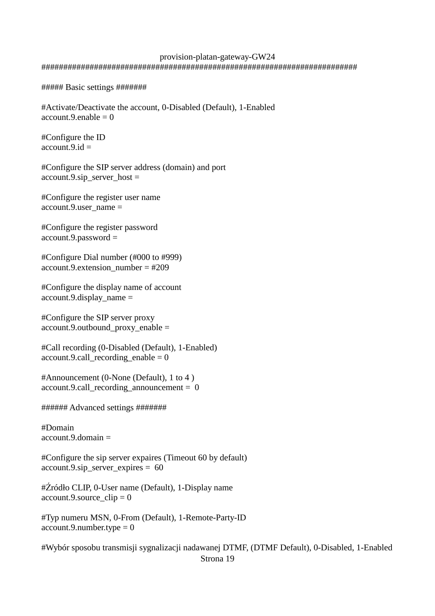### provision-platan-gateway-GW24 ########################################################################

##### Basic settings #######

#Activate/Deactivate the account, 0-Disabled (Default), 1-Enabled  $account.9.enable = 0$ 

#Configure the ID  $account.9.id =$ 

#Configure the SIP server address (domain) and port account.9.sip\_server\_host =

#Configure the register user name account.9.user  $name =$ 

```
#Configure the register password
account.9.password =
```
#Configure Dial number (#000 to #999) account.9.extension\_number =  $\text{\#209}$ 

#Configure the display name of account account.9.display\_name =

#Configure the SIP server proxy account.9.outbound proxy enable  $=$ 

#Call recording (0-Disabled (Default), 1-Enabled)  $account.9.call\_recording\_enable = 0$ 

#Announcement (0-None (Default), 1 to 4 ) account.9.call\_recording\_announcement = 0

###### Advanced settings #######

#Domain account.  $9$  domain  $=$ 

#Configure the sip server expaires (Timeout 60 by default) account.9.sip\_server\_expires = 60

#Źródło CLIP, 0-User name (Default), 1-Display name account.9.source  $clip = 0$ 

#Typ numeru MSN, 0-From (Default), 1-Remote-Party-ID  $account.9.$ number.type = 0

#Wybór sposobu transmisji sygnalizacji nadawanej DTMF, (DTMF Default), 0-Disabled, 1-Enabled Strona 19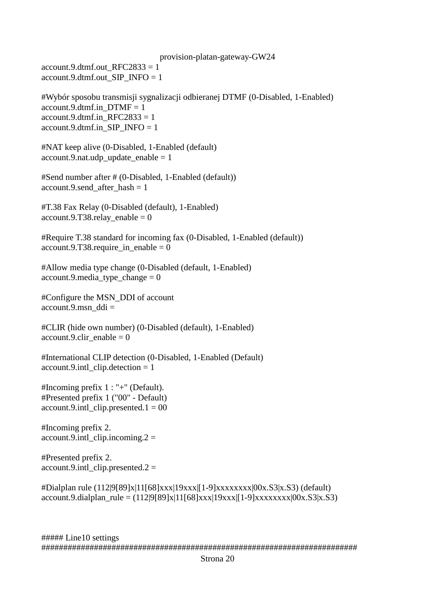provision-platan-gateway-GW24 account.9.dtmf.out  $RFC2833 = 1$ account.9.dtmf.out SIP\_INFO =  $1$ 

#Wybór sposobu transmisji sygnalizacji odbieranej DTMF (0-Disabled, 1-Enabled) account.9.dtmf.in  $DTMF = 1$ account.9.dtmf.in  $RFC2833 = 1$ account.9.dtmf.in\_SIP\_INFO = 1

#NAT keep alive (0-Disabled, 1-Enabled (default) account.9.nat.udp update enable  $= 1$ 

#Send number after # (0-Disabled, 1-Enabled (default)) account.9.send\_after\_hash = 1

#T.38 Fax Relay (0-Disabled (default), 1-Enabled) account.9.T38.relay enable = 0

#Require T.38 standard for incoming fax (0-Disabled, 1-Enabled (default)) account.9.T38.require in enable = 0

#Allow media type change (0-Disabled (default, 1-Enabled)  $account.9.\\median\_type\_change = 0$ 

#Configure the MSN\_DDI of account  $account.9.msn$  ddi =

#CLIR (hide own number) (0-Disabled (default), 1-Enabled)  $account.9. \text{clir\_enable} = 0$ 

#International CLIP detection (0-Disabled, 1-Enabled (Default) account.9.intl clip.detection  $= 1$ 

#Incoming prefix 1 : "+" (Default). #Presented prefix 1 ("00" - Default)  $account.9.int1$  clip.presented.1 = 00

#Incoming prefix 2.  $account.9.int1$  clip.incoming.  $2 =$ 

#Presented prefix 2. account.9.intl\_clip.presented.2 =

#Dialplan rule (112|9[89]x|11[68]xxx|19xxx|[1-9]xxxxxxxx|00x.S3|x.S3) (default)  $account.9.dialplan\_rule = (112|9[89]x|11[68]xxx|19xxx|[1-9]xxxxxxx|00x.S3|x.S3)$ 

##### Line10 settings ########################################################################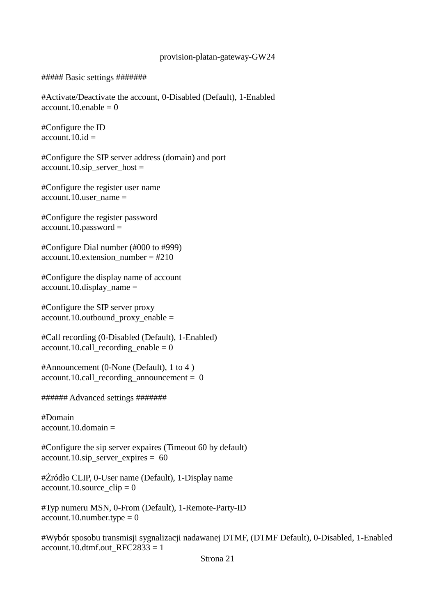##### Basic settings #######

#Activate/Deactivate the account, 0-Disabled (Default), 1-Enabled account.10.enable  $= 0$ 

#Configure the ID  $account.10.id =$ 

#Configure the SIP server address (domain) and port  $account.10.\text{sip\_server\_host} =$ 

#Configure the register user name account.10.user  $name =$ 

#Configure the register password account.10.password =

#Configure Dial number (#000 to #999) account.10.extension\_number = #210

#Configure the display name of account  $account.10.$ display\_name =

#Configure the SIP server proxy account.10.outbound proxy enable  $=$ 

#Call recording (0-Disabled (Default), 1-Enabled)  $account.10.call\_reording\_enable = 0$ 

#Announcement (0-None (Default), 1 to 4 )  $account.10.call recording announcement =  $0$$ 

###### Advanced settings #######

#Domain  $account.10.$ domain  $=$ 

#Configure the sip server expaires (Timeout 60 by default) account.10.sip\_server\_expires =  $60$ 

#Źródło CLIP, 0-User name (Default), 1-Display name  $account.10$ . source\_clip = 0

#Typ numeru MSN, 0-From (Default), 1-Remote-Party-ID  $account.10.$ number.type = 0

#Wybór sposobu transmisji sygnalizacji nadawanej DTMF, (DTMF Default), 0-Disabled, 1-Enabled account.10.dtmf.out  $RFC2833 = 1$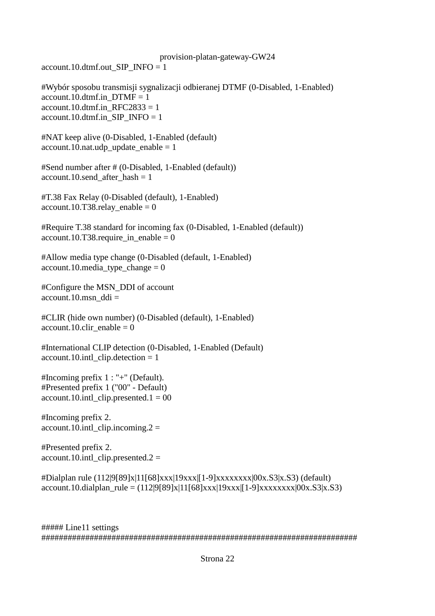account.10.dtmf.out\_SIP\_INFO = 1

#Wybór sposobu transmisji sygnalizacji odbieranej DTMF (0-Disabled, 1-Enabled) account.10.dtmf.in  $DTMF = 1$  $account.10.dmf.in\_RFC2833 = 1$ account.10.dtmf.in SIP\_INFO = 1

#NAT keep alive (0-Disabled, 1-Enabled (default)  $account.10.nat.$ udp\_update\_enable = 1

#Send number after # (0-Disabled, 1-Enabled (default)) account.10.send\_after\_hash = 1

#T.38 Fax Relay (0-Disabled (default), 1-Enabled)  $account.10.T38.$ relay\_enable = 0

#Require T.38 standard for incoming fax (0-Disabled, 1-Enabled (default)) account.10.T38.require in enable = 0

#Allow media type change (0-Disabled (default, 1-Enabled)  $account.10.\\ media\_type\_change = 0$ 

#Configure the MSN\_DDI of account account.10.msn\_ddi =

#CLIR (hide own number) (0-Disabled (default), 1-Enabled)  $account.10.clir\_enable = 0$ 

#International CLIP detection (0-Disabled, 1-Enabled (Default)  $account.10.intl$  clip.detection = 1

#Incoming prefix 1 : "+" (Default). #Presented prefix 1 ("00" - Default) account.10.intl clip.presented.1 =  $00$ 

#Incoming prefix 2.  $account.10.int\_clip.incoming.2 =$ 

#Presented prefix 2. account.10.intl clip.presented.2 =

#Dialplan rule (112|9[89]x|11[68]xxx|19xxx|[1-9]xxxxxxxx|00x.S3|x.S3) (default)  $account.10. dialplan\_rule = (112|9[89]x|11[68]xxx|19xxx|[1-9]xxxxxxxx|00x.S3|x.S3)$ 

##### Line11 settings ########################################################################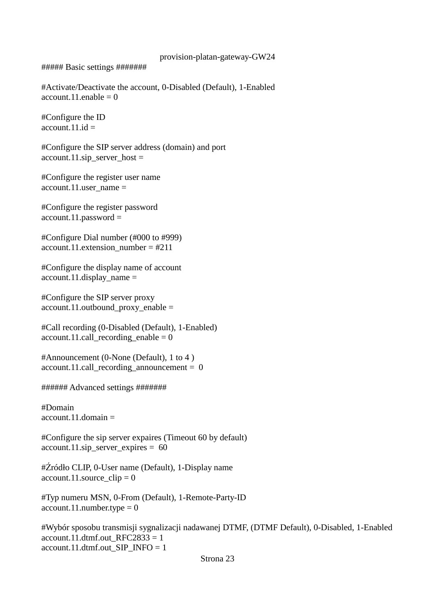##### Basic settings #######

#Activate/Deactivate the account, 0-Disabled (Default), 1-Enabled  $account.11.enable = 0$ 

#Configure the ID  $account.11.id =$ 

#Configure the SIP server address (domain) and port  $account.11.\text{sip\_server\_host} =$ 

#Configure the register user name account.11.user\_name =

#Configure the register password  $account.11.password =$ 

#Configure Dial number (#000 to #999) account.11.extension\_number =  $#211$ 

#Configure the display name of account  $account.11.$ display\_name =

#Configure the SIP server proxy account.11.outbound\_proxy\_enable =

#Call recording (0-Disabled (Default), 1-Enabled)  $account.11.call\_recording\_enable = 0$ 

#Announcement (0-None (Default), 1 to 4 ) account.11.call recording announcement =  $0$ 

###### Advanced settings #######

#Domain  $account.11.$ domain  $=$ 

#Configure the sip server expaires (Timeout 60 by default) account.11.sip\_server\_expires =  $60$ 

#Źródło CLIP, 0-User name (Default), 1-Display name  $account.11$ .source\_clip = 0

#Typ numeru MSN, 0-From (Default), 1-Remote-Party-ID  $account.11.number_type = 0$ 

#Wybór sposobu transmisji sygnalizacji nadawanej DTMF, (DTMF Default), 0-Disabled, 1-Enabled account.11.dtmf.out\_RFC2833 = 1 account.11.dtmf.out SIP\_INFO = 1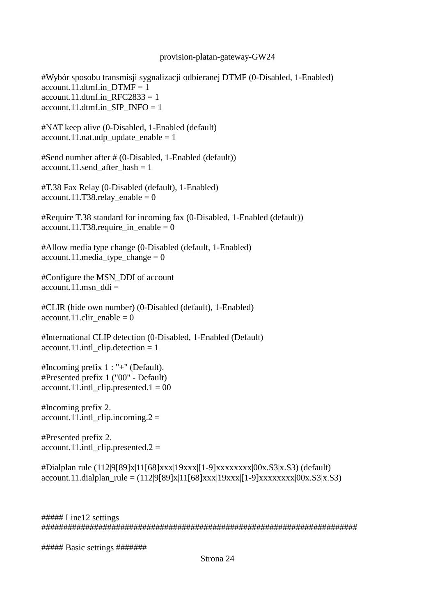#Wybór sposobu transmisji sygnalizacji odbieranej DTMF (0-Disabled, 1-Enabled) account.11.dtmf.in  $DTMF = 1$ account.11.dtmf.in  $RFC2833 = 1$ account.11.dtmf.in\_SIP\_INFO = 1

#NAT keep alive (0-Disabled, 1-Enabled (default)  $account.11.nat.ugh\_update\_enable = 1$ 

#Send number after # (0-Disabled, 1-Enabled (default)) account.11.send after hash  $= 1$ 

#T.38 Fax Relay (0-Disabled (default), 1-Enabled)  $account.11.T38. relay\_enable = 0$ 

#Require T.38 standard for incoming fax (0-Disabled, 1-Enabled (default))  $account.11.T38.require_in\_enable = 0$ 

#Allow media type change (0-Disabled (default, 1-Enabled)  $account.11.\\median\_type\_change = 0$ 

#Configure the MSN\_DDI of account  $account.11.msn$  ddi =

#CLIR (hide own number) (0-Disabled (default), 1-Enabled) account.11.clir\_enable =  $0$ 

#International CLIP detection (0-Disabled, 1-Enabled (Default)  $account.11.int1_clip. detection = 1$ 

#Incoming prefix 1 : "+" (Default). #Presented prefix 1 ("00" - Default)  $account.11.int1_clip.presented.1 = 00$ 

#Incoming prefix 2. account.11.intl clip.incoming.2 =

#Presented prefix 2.  $account.11.int1$  clip.presented.2 =

#Dialplan rule (112|9[89]x|11[68]xxx|19xxx|[1-9]xxxxxxxx|00x.S3|x.S3) (default)  $account.11. dialplan\_rule = (112|9[89]x|11[68]xxx|19xxx|[1-9]xxxxxxx[x,00x.S3]x.S3)$ 

##### Line12 settings ########################################################################

##### Basic settings #######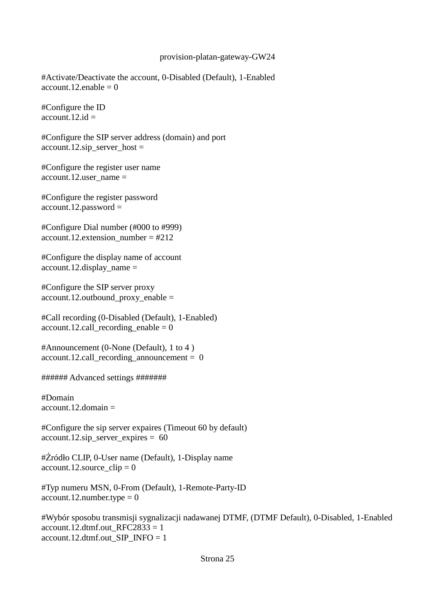#Activate/Deactivate the account, 0-Disabled (Default), 1-Enabled account.12.enable  $= 0$ 

#Configure the ID  $account.12.id =$ 

#Configure the SIP server address (domain) and port  $account.12.\text{sip\_server\_host} =$ 

#Configure the register user name account.12.user\_name =

#Configure the register password  $account.12.password =$ 

#Configure Dial number (#000 to #999)  $account.12. extension number = #212$ 

#Configure the display name of account  $account.12.$ display\_name =

#Configure the SIP server proxy account.12.outbound\_proxy\_enable =

#Call recording (0-Disabled (Default), 1-Enabled) account.12.call recording enable  $= 0$ 

#Announcement (0-None (Default), 1 to 4 )  $account.12.call\_reording\_announcement = 0$ 

###### Advanced settings #######

#Domain  $account.12.$ domain  $=$ 

#Configure the sip server expaires (Timeout 60 by default) account.12.sip\_server\_expires = 60

#Źródło CLIP, 0-User name (Default), 1-Display name  $account.12$ .source\_clip = 0

#Typ numeru MSN, 0-From (Default), 1-Remote-Party-ID  $account.12_number.type = 0$ 

#Wybór sposobu transmisji sygnalizacji nadawanej DTMF, (DTMF Default), 0-Disabled, 1-Enabled account.12.dtmf.out  $RFC2833 = 1$ account.12.dtmf.out SIP\_INFO = 1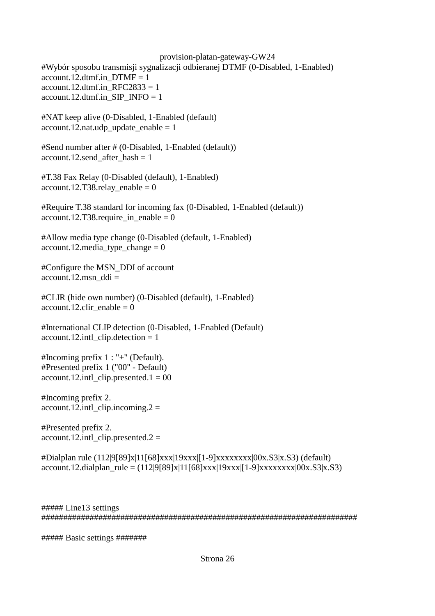provision-platan-gateway-GW24 #Wybór sposobu transmisji sygnalizacji odbieranej DTMF (0-Disabled, 1-Enabled) account.12.dtmf.in  $DTMF = 1$ account.12.dtmf.in  $RFC2833 = 1$  $account.12.dtmf.in\_SIP\_INFO = 1$ #NAT keep alive (0-Disabled, 1-Enabled (default)

account.12.nat.udp update enable  $= 1$ 

#Send number after # (0-Disabled, 1-Enabled (default)) account.12.send after hash  $= 1$ 

#T.38 Fax Relay (0-Disabled (default), 1-Enabled)  $account.12.T38. relay\_enable = 0$ 

#Require T.38 standard for incoming fax (0-Disabled, 1-Enabled (default)) account.12.T38.require in enable = 0

#Allow media type change (0-Disabled (default, 1-Enabled) account.12.media type change  $= 0$ 

#Configure the MSN\_DDI of account  $account.12.msn$  ddi =

#CLIR (hide own number) (0-Disabled (default), 1-Enabled) account.12.clir enable  $= 0$ 

#International CLIP detection (0-Disabled, 1-Enabled (Default)  $account.12.int\_clip. detection = 1$ 

#Incoming prefix 1 : "+" (Default). #Presented prefix 1 ("00" - Default) account.12.intl clip.presented.1 =  $00$ 

#Incoming prefix 2.  $account.12.int\_clip.incoming.2 =$ 

#Presented prefix 2.  $account.12.int\_clip.presented.2 =$ 

#Dialplan rule (112|9[89]x|11[68]xxx|19xxx|[1-9]xxxxxxxx|00x.S3|x.S3) (default)  $account.12.dialplan\_rule = (112|9[89]x|11[68]xxx|19xxx|[1-9]xxxxxxx[x,83]x,53)$ 

##### Line13 settings ########################################################################

##### Basic settings #######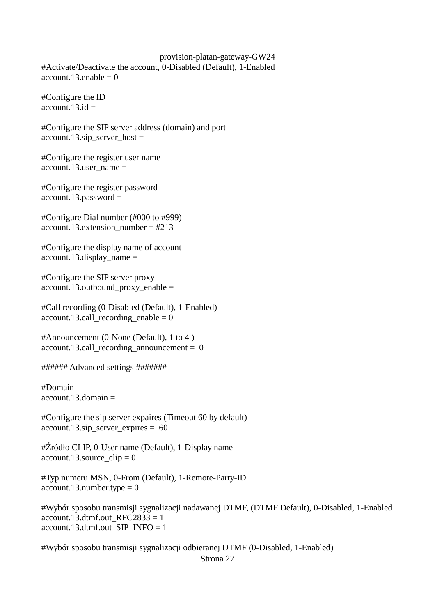#Activate/Deactivate the account, 0-Disabled (Default), 1-Enabled account.13.enable  $= 0$ 

#Configure the ID  $account.13.id =$ 

#Configure the SIP server address (domain) and port  $account.13.\text{sip\_server\_host} =$ 

#Configure the register user name account.13.user  $name =$ 

#Configure the register password  $account.13.password =$ 

#Configure Dial number (#000 to #999) account.13.extension\_number =  $#213$ 

#Configure the display name of account account.13.display\_name =

#Configure the SIP server proxy account.13.outbound proxy enable  $=$ 

#Call recording (0-Disabled (Default), 1-Enabled) account.13.call\_recording\_enable =  $0$ 

#Announcement (0-None (Default), 1 to 4 )  $account.13.call\_recording\_announcement = 0$ 

###### Advanced settings #######

#Domain  $account.13.domain =$ 

#Configure the sip server expaires (Timeout 60 by default) account.13.sip\_server\_expires = 60

#Źródło CLIP, 0-User name (Default), 1-Display name account.13.source  $clip = 0$ 

#Typ numeru MSN, 0-From (Default), 1-Remote-Party-ID  $account.13_number.type = 0$ 

#Wybór sposobu transmisji sygnalizacji nadawanej DTMF, (DTMF Default), 0-Disabled, 1-Enabled account.13.dtmf.out  $RFC2833 = 1$ account.13.dtmf.out SIP\_INFO = 1

#Wybór sposobu transmisji sygnalizacji odbieranej DTMF (0-Disabled, 1-Enabled) Strona 27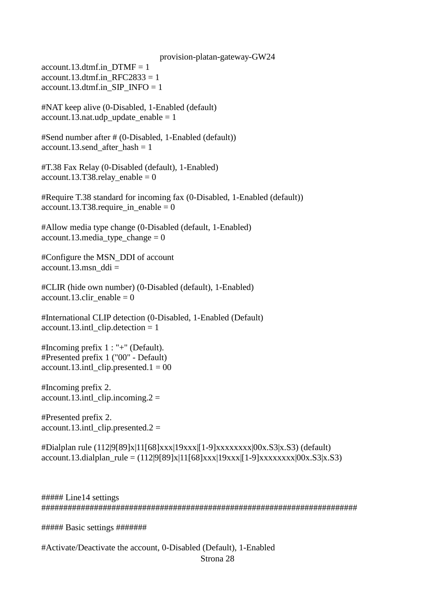account.13.dtmf.in  $DTMF = 1$ account.13.dtmf.in RFC2833 = 1 account.13.dtmf.in SIP\_INFO = 1

#NAT keep alive (0-Disabled, 1-Enabled (default)  $account.13.nat.ugh\_update\_enable = 1$ 

#Send number after # (0-Disabled, 1-Enabled (default)) account.13.send after hash  $= 1$ 

#T.38 Fax Relay (0-Disabled (default), 1-Enabled)  $account.13.T38. relay\_enable = 0$ 

#Require T.38 standard for incoming fax (0-Disabled, 1-Enabled (default))  $account.13.T38.require_in\_enable = 0$ 

#Allow media type change (0-Disabled (default, 1-Enabled) account.13.media type change  $= 0$ 

#Configure the MSN\_DDI of account account.13.msn  $ddi =$ 

#CLIR (hide own number) (0-Disabled (default), 1-Enabled)  $account.13.clir\_enable = 0$ 

#International CLIP detection (0-Disabled, 1-Enabled (Default) account.13.intl clip.detection  $= 1$ 

#Incoming prefix 1 : "+" (Default). #Presented prefix 1 ("00" - Default)  $account.13.int\_clip.presented.1 = 00$ 

#Incoming prefix 2. account.13.intl clip.incoming.2 =

#Presented prefix 2.  $account.13.int\_clip.presented.2 =$ 

#Dialplan rule (112|9[89]x|11[68]xxx|19xxx|[1-9]xxxxxxxx|00x.S3|x.S3) (default) account.13.dialplan\_rule =  $(112|9[89]x|11[68]xxx|19xxx|1-9]xxxxxxx1|00x.S3|x.S3)$ 

##### Line14 settings ########################################################################

##### Basic settings #######

#Activate/Deactivate the account, 0-Disabled (Default), 1-Enabled

Strona 28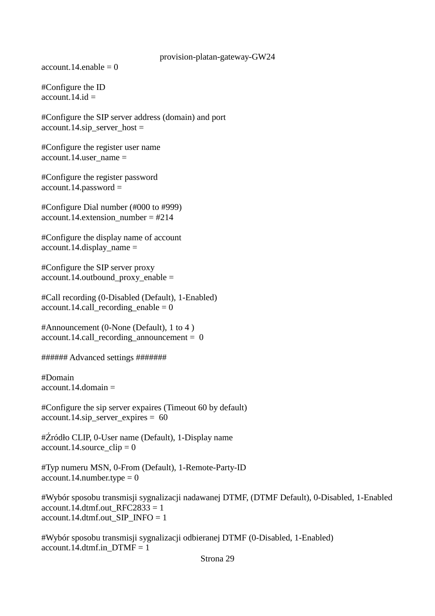$account.14.enable = 0$ 

#Configure the ID  $account.14.id =$ 

#Configure the SIP server address (domain) and port account.14.sip\_server\_host =

#Configure the register user name account.14.user  $name =$ 

#Configure the register password account.14.password =

#Configure Dial number (#000 to #999) account.14.extension\_number =  $\text{\#214}$ 

#Configure the display name of account account.14.display name  $=$ 

#Configure the SIP server proxy account.14.outbound\_proxy\_enable =

#Call recording (0-Disabled (Default), 1-Enabled)  $account.14.call\_recording\_enable = 0$ 

#Announcement (0-None (Default), 1 to 4 )  $account.14.call\_recording\_announcement = 0$ 

###### Advanced settings #######

#Domain  $account.14.domain =$ 

#Configure the sip server expaires (Timeout 60 by default) account.14.sip\_server\_expires =  $60$ 

#Źródło CLIP, 0-User name (Default), 1-Display name account.14.source  $clip = 0$ 

#Typ numeru MSN, 0-From (Default), 1-Remote-Party-ID  $account.14.number.type = 0$ 

#Wybór sposobu transmisji sygnalizacji nadawanej DTMF, (DTMF Default), 0-Disabled, 1-Enabled account.14.dtmf.out  $RFC2833 = 1$ account.14.dtmf.out SIP\_INFO = 1

#Wybór sposobu transmisji sygnalizacji odbieranej DTMF (0-Disabled, 1-Enabled) account.14.dtmf.in  $DTMF = 1$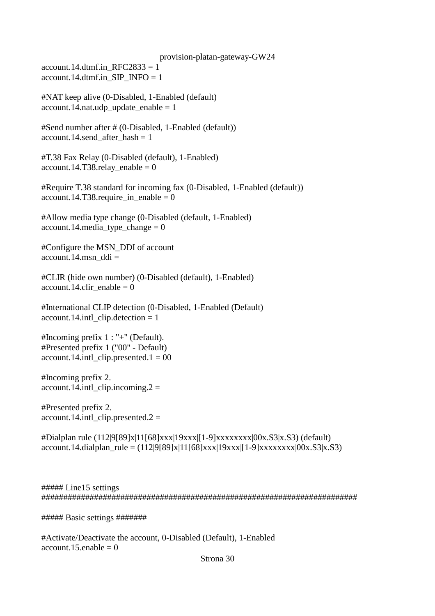provision-platan-gateway-GW24 account.14.dtmf.in  $RFC2833 = 1$ account.14.dtmf.in SIP\_INFO = 1

#NAT keep alive (0-Disabled, 1-Enabled (default)  $account.14.nat.$ udp\_update\_enable = 1

#Send number after # (0-Disabled, 1-Enabled (default)) account.14.send after hash  $= 1$ 

#T.38 Fax Relay (0-Disabled (default), 1-Enabled)  $account.14.T38. relay\_enable = 0$ 

#Require T.38 standard for incoming fax (0-Disabled, 1-Enabled (default)) account.14.T38.require in enable = 0

#Allow media type change (0-Disabled (default, 1-Enabled)  $account.14.\\ media\_type\_change = 0$ 

#Configure the MSN\_DDI of account account.14.msn\_ddi =

#CLIR (hide own number) (0-Disabled (default), 1-Enabled) account.14.clir enable =  $0$ 

#International CLIP detection (0-Disabled, 1-Enabled (Default) account.14.intl clip.detection  $= 1$ 

#Incoming prefix 1 : "+" (Default). #Presented prefix 1 ("00" - Default)  $account.14.int1$  clip.presented.1 = 00

#Incoming prefix 2.  $account.14.int\_clip.incoming.2 =$ 

#Presented prefix 2. account.14.intl clip.presented.2 =

#Dialplan rule (112|9[89]x|11[68]xxx|19xxx|[1-9]xxxxxxxx|00x.S3|x.S3) (default)  $account.14. dialplan\_rule = (112|9[89]x|11[68]xxx|19xxx|[1-9]xxxxxxxx|00x.S3|x.S3)$ 

##### Line15 settings ########################################################################

##### Basic settings #######

#Activate/Deactivate the account, 0-Disabled (Default), 1-Enabled  $account.15.enable = 0$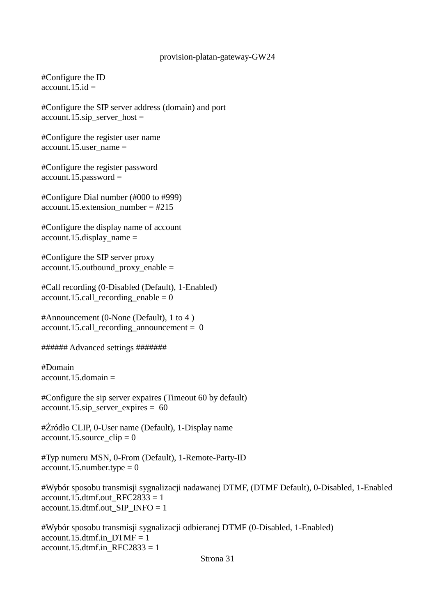#Configure the ID account 15 id  $=$ 

#Configure the SIP server address (domain) and port  $account.15.\sip\_server\_host =$ 

#Configure the register user name account.15.user  $name =$ 

#Configure the register password account.15.password =

#Configure Dial number (#000 to #999) account.15.extension\_number =  $\text{\#215}$ 

#Configure the display name of account  $account.15.$ display  $name =$ 

#Configure the SIP server proxy account.15.outbound\_proxy\_enable =

#Call recording (0-Disabled (Default), 1-Enabled)  $account.15.call\_recording\_enable = 0$ 

#Announcement (0-None (Default), 1 to 4 )  $account.15.call recording announcement = 0$ 

###### Advanced settings #######

#Domain account.15.domain =

#Configure the sip server expaires (Timeout 60 by default)  $account.15.\sin\_server\_expires = 60$ 

#Źródło CLIP, 0-User name (Default), 1-Display name  $account.15$ .source\_clip = 0

#Typ numeru MSN, 0-From (Default), 1-Remote-Party-ID  $account.15.$ number.type = 0

#Wybór sposobu transmisji sygnalizacji nadawanej DTMF, (DTMF Default), 0-Disabled, 1-Enabled account.15.dtmf.out  $RFC2833 = 1$ account.15.dtmf.out\_SIP\_INFO = 1

#Wybór sposobu transmisji sygnalizacji odbieranej DTMF (0-Disabled, 1-Enabled) account.15.dtmf.in  $DTMF = 1$ account.15.dtmf.in  $RFC2833 = 1$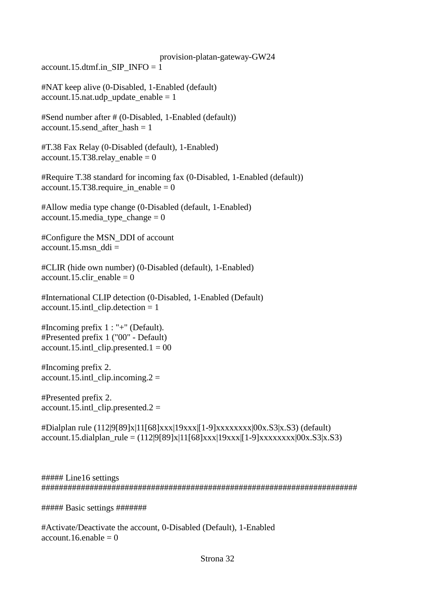account.15.dtmf.in\_SIP\_INFO = 1

#NAT keep alive (0-Disabled, 1-Enabled (default)  $account.15.nat.udy\_update\_enable = 1$ 

#Send number after # (0-Disabled, 1-Enabled (default)) account.15.send after hash  $= 1$ 

#T.38 Fax Relay (0-Disabled (default), 1-Enabled) account.15.T38.relay enable = 0

#Require T.38 standard for incoming fax (0-Disabled, 1-Enabled (default))  $account.15.T38.require_in\_enable = 0$ 

#Allow media type change (0-Disabled (default, 1-Enabled) account.15.media type change  $= 0$ 

#Configure the MSN\_DDI of account  $account.15.msn$  ddi =

#CLIR (hide own number) (0-Disabled (default), 1-Enabled) account.15.clir enable  $= 0$ 

#International CLIP detection (0-Disabled, 1-Enabled (Default) account.15.intl\_clip.detection = 1

#Incoming prefix 1 : "+" (Default). #Presented prefix 1 ("00" - Default)  $account.15.int\_clip.presented.1 = 00$ 

#Incoming prefix 2. account.15.intl clip.incoming.2 =

#Presented prefix 2.  $account.15.int\_clip.presented.2 =$ 

#Dialplan rule (112|9[89]x|11[68]xxx|19xxx|[1-9]xxxxxxxx|00x.S3|x.S3) (default)  $account.15.dialplan\_rule = (112|9[89]x|11[68]xxx|19xxx|[1-9]xxxxxxx[x,83]x,53)$ 

##### Line16 settings ########################################################################

##### Basic settings #######

#Activate/Deactivate the account, 0-Disabled (Default), 1-Enabled account.16.enable  $= 0$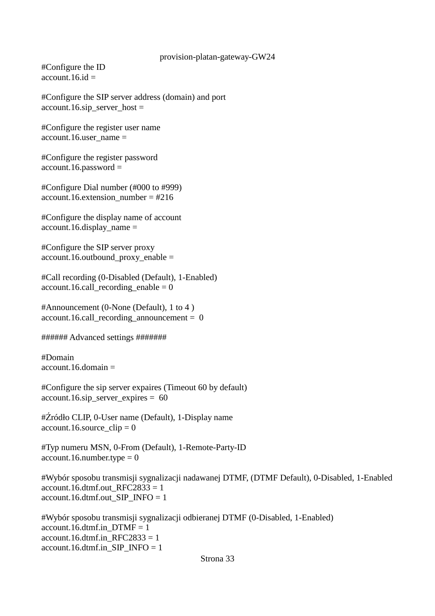#Configure the ID  $account.16.id =$ 

#Configure the SIP server address (domain) and port account.16.sip\_server\_host =

#Configure the register user name account.16.user  $name =$ 

#Configure the register password account.16.password =

#Configure Dial number (#000 to #999) account.16.extension\_number =  $#216$ 

#Configure the display name of account account.16.display\_name =

#Configure the SIP server proxy account.16.outbound\_proxy\_enable =

#Call recording (0-Disabled (Default), 1-Enabled) account.16.call recording enable  $= 0$ 

#Announcement (0-None (Default), 1 to 4 ) account.16.call recording announcement =  $0$ 

###### Advanced settings #######

#Domain  $account.16.$ domain  $=$ 

#Configure the sip server expaires (Timeout 60 by default) account.16.sip\_server\_expires =  $60$ 

#Źródło CLIP, 0-User name (Default), 1-Display name  $account.16$ .source\_clip = 0

#Typ numeru MSN, 0-From (Default), 1-Remote-Party-ID  $account.16.number.type =  $0$$ 

#Wybór sposobu transmisji sygnalizacji nadawanej DTMF, (DTMF Default), 0-Disabled, 1-Enabled account.16.dtmf.out  $RFC2833 = 1$ account.16.dtmf.out  $SIP$  INFO = 1

#Wybór sposobu transmisji sygnalizacji odbieranej DTMF (0-Disabled, 1-Enabled) account.16.dtmf.in  $DTMF = 1$ account.16.dtmf.in RFC2833 = 1 account.16.dtmf.in\_SIP\_INFO = 1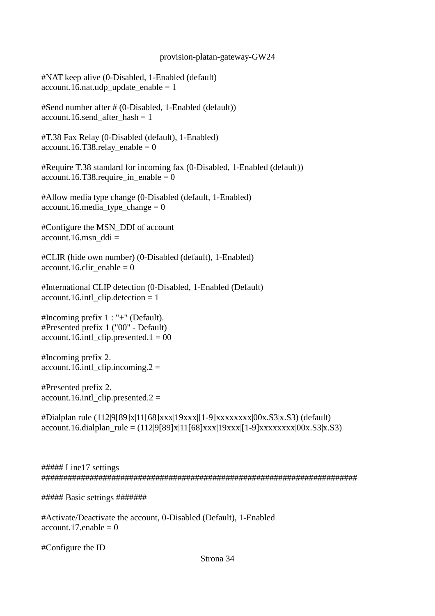#NAT keep alive (0-Disabled, 1-Enabled (default) account.16.nat.udp update enable  $= 1$ 

#Send number after # (0-Disabled, 1-Enabled (default)) account.16.send after hash  $= 1$ 

#T.38 Fax Relay (0-Disabled (default), 1-Enabled)  $account.16.T38. relay\_enable = 0$ 

#Require T.38 standard for incoming fax (0-Disabled, 1-Enabled (default))  $account.16.T38.require_in\_enable = 0$ 

#Allow media type change (0-Disabled (default, 1-Enabled) account.16.media type change  $= 0$ 

#Configure the MSN\_DDI of account account.16.msn  $ddi =$ 

#CLIR (hide own number) (0-Disabled (default), 1-Enabled) account.16.clir enable  $= 0$ 

#International CLIP detection (0-Disabled, 1-Enabled (Default) account.16.intl\_clip.detection = 1

#Incoming prefix 1 : "+" (Default). #Presented prefix 1 ("00" - Default)  $account.16.intl$  clip.presented.1 = 00

#Incoming prefix 2.  $account.16.intl_clip.incoming.2 =$ 

#Presented prefix 2. account.16.intl clip.presented.2 =

#Dialplan rule (112|9[89]x|11[68]xxx|19xxx|[1-9]xxxxxxxx|00x.S3|x.S3) (default)  $account.16. dialplan\_rule = (112|9[89]x|11[68]xxx|19xxx|[1-9]xxxxxxxx|00x.S3|x.S3)$ 

##### Line17 settings ########################################################################

##### Basic settings #######

#Activate/Deactivate the account, 0-Disabled (Default), 1-Enabled account.17.enable  $= 0$ 

#Configure the ID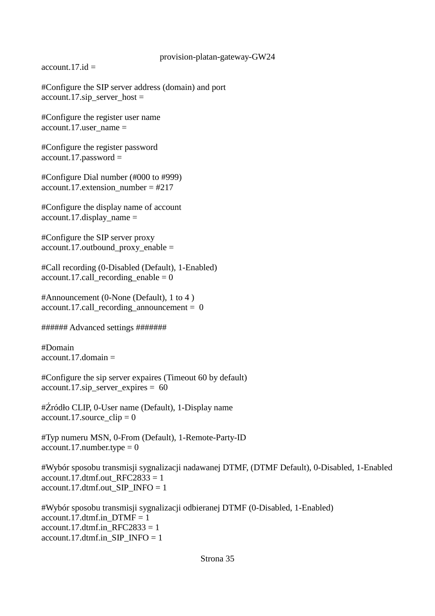$account.17.id =$ 

#Configure the SIP server address (domain) and port  $account.17.\text{sip\_server\_host} =$ 

#Configure the register user name account.17.user  $name =$ 

#Configure the register password account.17.password =

#Configure Dial number (#000 to #999) account.17.extension\_number = #217

#Configure the display name of account  $account.17.$ display  $name =$ 

#Configure the SIP server proxy account.17.outbound proxy enable  $=$ 

#Call recording (0-Disabled (Default), 1-Enabled)  $account.17.call\_recording\_enable = 0$ 

#Announcement (0-None (Default), 1 to 4 )  $account.17.call\_recording\_announcement = 0$ 

###### Advanced settings #######

#Domain  $account\ 17\ domain =$ 

#Configure the sip server expaires (Timeout 60 by default) account.17.sip\_server\_expires = 60

#Źródło CLIP, 0-User name (Default), 1-Display name account.17.source  $clip = 0$ 

#Typ numeru MSN, 0-From (Default), 1-Remote-Party-ID  $account.17.number.type = 0$ 

#Wybór sposobu transmisji sygnalizacji nadawanej DTMF, (DTMF Default), 0-Disabled, 1-Enabled account.17.dtmf.out  $RFC2833 = 1$ account.17.dtmf.out\_SIP\_INFO = 1

#Wybór sposobu transmisji sygnalizacji odbieranej DTMF (0-Disabled, 1-Enabled) account.17.dtmf.in  $DTMF = 1$ account.17.dtmf.in  $RFC2833 = 1$ account.17.dtmf.in SIP\_INFO = 1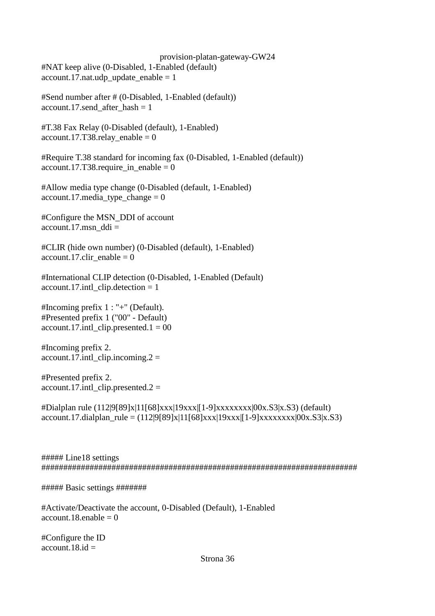provision-platan-gateway-GW24 #NAT keep alive (0-Disabled, 1-Enabled (default) account.17.nat.udp update enable  $= 1$ 

#Send number after # (0-Disabled, 1-Enabled (default)) account.17.send\_after\_hash = 1

#T.38 Fax Relay (0-Disabled (default), 1-Enabled) account.17.T38.relay enable =  $0$ 

#Require T.38 standard for incoming fax (0-Disabled, 1-Enabled (default))  $account.17.T38. require_in\_enable = 0$ 

#Allow media type change (0-Disabled (default, 1-Enabled)  $account.17.\\median\_type\_change = 0$ 

#Configure the MSN\_DDI of account account.17.msn  $ddi =$ 

#CLIR (hide own number) (0-Disabled (default), 1-Enabled)  $account.17.clir\_enable = 0$ 

#International CLIP detection (0-Disabled, 1-Enabled (Default) account.17.intl clip.detection  $= 1$ 

#Incoming prefix 1 : "+" (Default). #Presented prefix 1 ("00" - Default) account.17.intl clip.presented.1 =  $00$ 

#Incoming prefix 2.  $account.17.int1$  clip.incoming.  $2 =$ 

#Presented prefix 2.  $account.17.intl_clip.presented.2 =$ 

#Dialplan rule (112|9[89]x|11[68]xxx|19xxx|[1-9]xxxxxxxx|00x.S3|x.S3) (default) account.17.dialplan\_rule =  $(112|9[89]x|11[68]xxx|19xxx|1-9]xxxxxxx1|00x.S3|x.S3)$ 

##### Line18 settings ########################################################################

##### Basic settings #######

#Activate/Deactivate the account, 0-Disabled (Default), 1-Enabled account.18 enable  $= 0$ 

#Configure the ID  $account.18.id =$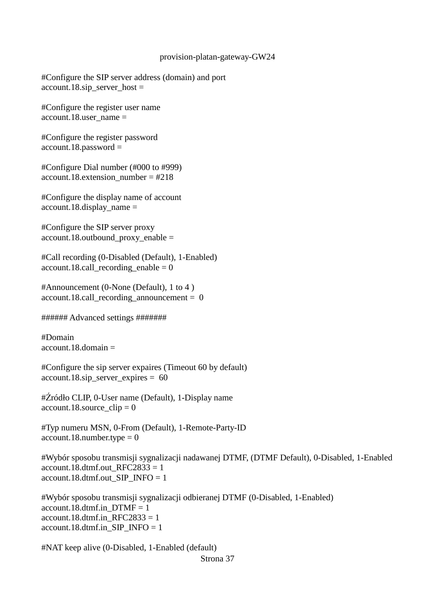#Configure the SIP server address (domain) and port account.18.sip\_server\_host =

#Configure the register user name account.18.user  $name =$ 

#Configure the register password account.18.password =

#Configure Dial number (#000 to #999)  $account.18. extension number = #218$ 

#Configure the display name of account  $account.18.$ display  $name =$ 

#Configure the SIP server proxy account.18.outbound proxy enable  $=$ 

#Call recording (0-Disabled (Default), 1-Enabled)  $account.18.call\_reording\_enable = 0$ 

#Announcement (0-None (Default), 1 to 4 )  $account.18. call\_recording\_announcement = 0$ 

###### Advanced settings #######

#Domain  $account.18.$ domain  $=$ 

#Configure the sip server expaires (Timeout 60 by default) account.18.sip\_server\_expires =  $60$ 

#Źródło CLIP, 0-User name (Default), 1-Display name  $account.18$ . source\_clip = 0

#Typ numeru MSN, 0-From (Default), 1-Remote-Party-ID  $account.18.$ number.type = 0

#Wybór sposobu transmisji sygnalizacji nadawanej DTMF, (DTMF Default), 0-Disabled, 1-Enabled  $account.18.dtmf.out\_RFC2833 = 1$ account.18.dtmf.out SIP\_INFO = 1

#Wybór sposobu transmisji sygnalizacji odbieranej DTMF (0-Disabled, 1-Enabled) account.18.dtmf.in  $DTMF = 1$ account.18.dtmf.in  $RFC2833 = 1$ account.18.dtmf.in SIP\_INFO = 1

#NAT keep alive (0-Disabled, 1-Enabled (default) Strona 37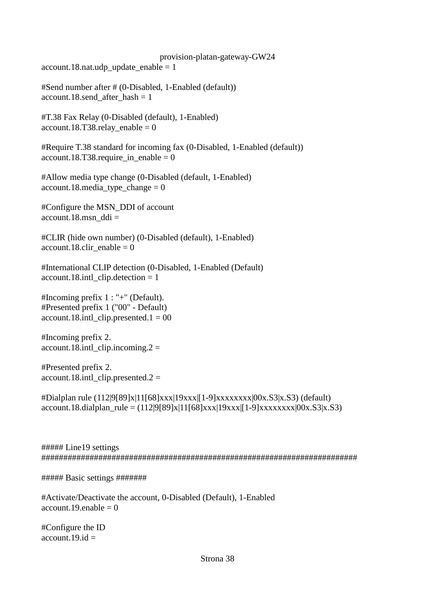$account.18.nat.$ udp\_update\_enable = 1

#Send number after # (0-Disabled, 1-Enabled (default)) account.18.send\_after\_hash = 1

#T.38 Fax Relay (0-Disabled (default), 1-Enabled) account.18.T38.relay enable =  $0$ 

#Require T.38 standard for incoming fax (0-Disabled, 1-Enabled (default)) account.18.T38.require in enable = 0

#Allow media type change (0-Disabled (default, 1-Enabled)  $account.18.\\median\_type\_change = 0$ 

#Configure the MSN\_DDI of account  $account.18.msn$  ddi =

#CLIR (hide own number) (0-Disabled (default), 1-Enabled) account.18.clir enable  $= 0$ 

#International CLIP detection (0-Disabled, 1-Enabled (Default)  $account.18.intLclip. detection = 1$ 

#Incoming prefix 1 : "+" (Default). #Presented prefix 1 ("00" - Default) account.18.intl clip.presented.1 =  $00$ 

#Incoming prefix 2.  $account.18.int\_clip.incoming.2 =$ 

#Presented prefix 2. account.18.intl clip.presented.2 =

 $\#$ Dialplan rule (112|9[89]x|11[68]xxx|19xxx|[1-9]xxxxxxxxx|00x.S3|x.S3) (default)  $account.18.dialplan\_rule = (112|9[89]x|11[68]xxx|19xxx|[1-9]xxxxxxx[x,83]x,53)$ 

##### Line19 settings ########################################################################

##### Basic settings #######

#Activate/Deactivate the account, 0-Disabled (Default), 1-Enabled  $account.19.enable = 0$ 

#Configure the ID account.19. $id =$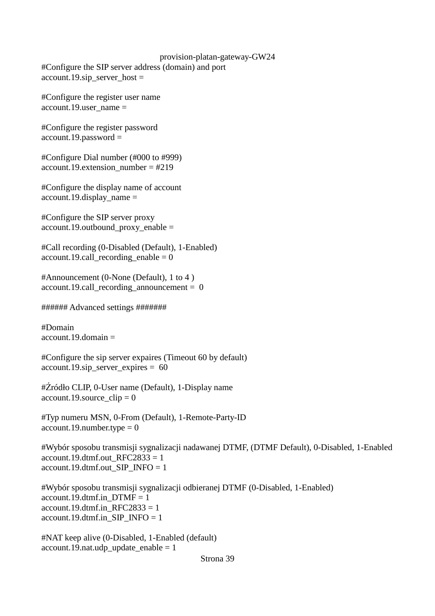provision-platan-gateway-GW24 #Configure the SIP server address (domain) and port account.19.sip\_server\_host =

#Configure the register user name account.19.user\_name =

#Configure the register password account.19.password =

#Configure Dial number (#000 to #999) account.19.extension\_number =  $\text{\#219}$ 

#Configure the display name of account account.19.display\_name =

#Configure the SIP server proxy account.19.outbound\_proxy\_enable =

#Call recording (0-Disabled (Default), 1-Enabled)  $account.19.call\_recording\_enable = 0$ 

#Announcement (0-None (Default), 1 to 4 ) account.19.call recording announcement =  $0$ 

###### Advanced settings #######

#Domain  $account.19.domain =$ 

#Configure the sip server expaires (Timeout 60 by default) account.19.sip\_server\_expires = 60

#Źródło CLIP, 0-User name (Default), 1-Display name account.19.source  $clip = 0$ 

#Typ numeru MSN, 0-From (Default), 1-Remote-Party-ID  $account.19.$ number.type = 0

#Wybór sposobu transmisji sygnalizacji nadawanej DTMF, (DTMF Default), 0-Disabled, 1-Enabled account.19.dtmf.out\_RFC2833 = 1 account.19.dtmf.out\_SIP\_INFO = 1

#Wybór sposobu transmisji sygnalizacji odbieranej DTMF (0-Disabled, 1-Enabled) account.19.dtmf.in  $DTMF = 1$  $account.19.$ dtmf.in\_RFC2833 = 1 account.19.dtmf.in\_SIP\_INFO = 1

#NAT keep alive (0-Disabled, 1-Enabled (default)  $account.19.nat.udy\_update\_enable = 1$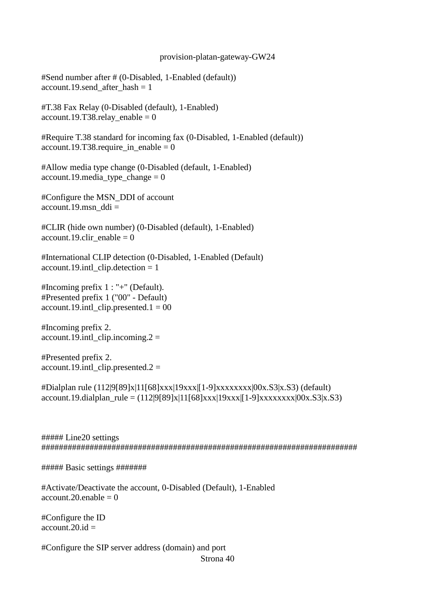#Send number after # (0-Disabled, 1-Enabled (default)) account.19.send after hash  $= 1$ 

#T.38 Fax Relay (0-Disabled (default), 1-Enabled)  $account.19. T38. relay\_enable = 0$ 

#Require T.38 standard for incoming fax (0-Disabled, 1-Enabled (default))  $account.19. T38. require_in\_enable = 0$ 

#Allow media type change (0-Disabled (default, 1-Enabled)  $account.19. media_type_change = 0$ 

#Configure the MSN\_DDI of account  $account.19.msn$  ddi =

#CLIR (hide own number) (0-Disabled (default), 1-Enabled) account.19.clir enable =  $0$ 

#International CLIP detection (0-Disabled, 1-Enabled (Default)  $account.19.intl_clip.detlection = 1$ 

#Incoming prefix 1 : "+" (Default). #Presented prefix 1 ("00" - Default)  $account.19.int1$  clip.presented.1 = 00

#Incoming prefix 2.  $account.19.int1$  clip.incoming.  $2 =$ 

#Presented prefix 2.  $account.19.int1$  clip.presented.2 =

#Dialplan rule (112|9[89]x|11[68]xxx|19xxx|[1-9]xxxxxxxx|00x.S3|x.S3) (default)  $account.19.dialplan\_rule = (112|9[89]x|11[68]xxx|19xxx|[1-9]xxxxxxxx|00x.S3|x.S3)$ 

##### Line20 settings ########################################################################

##### Basic settings #######

#Activate/Deactivate the account, 0-Disabled (Default), 1-Enabled account. 20. enable  $= 0$ 

#Configure the ID  $\overline{\text{account}}$ .20.id =

#Configure the SIP server address (domain) and port Strona 40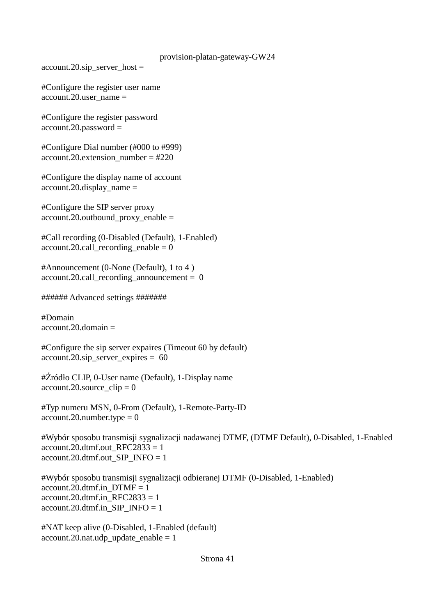$account.20.\text{sip\_server\_host} =$ 

#Configure the register user name  $account.20.$ user\_name =

#Configure the register password account.20.password =

#Configure Dial number (#000 to #999)  $account.20. extension number = #220$ 

#Configure the display name of account  $account.20.$ display\_name =

#Configure the SIP server proxy account.20.outbound\_proxy\_enable =

#Call recording (0-Disabled (Default), 1-Enabled) account.20.call recording enable  $= 0$ 

#Announcement (0-None (Default), 1 to 4 )  $account.20.call\_recording\_announcement =  $0$$ 

###### Advanced settings #######

#Domain  $account.20.$ domain  $=$ 

#Configure the sip server expaires (Timeout 60 by default)  $account.20.\text{sip\_server\_expires} = 60$ 

#Źródło CLIP, 0-User name (Default), 1-Display name  $account.20$ .source\_clip = 0

#Typ numeru MSN, 0-From (Default), 1-Remote-Party-ID  $account.20_number.type = 0$ 

#Wybór sposobu transmisji sygnalizacji nadawanej DTMF, (DTMF Default), 0-Disabled, 1-Enabled account.20.dtmf.out $RFC2833 = 1$ account.20.dtmf.out  $SIP$  INFO = 1

#Wybór sposobu transmisji sygnalizacji odbieranej DTMF (0-Disabled, 1-Enabled) account.20.dtmf.in  $DTMF = 1$ account.20.dtmf.in  $RFC2833 = 1$ account.20.dtmf.in\_SIP\_INFO = 1

#NAT keep alive (0-Disabled, 1-Enabled (default) account.20.nat.udp update enable  $= 1$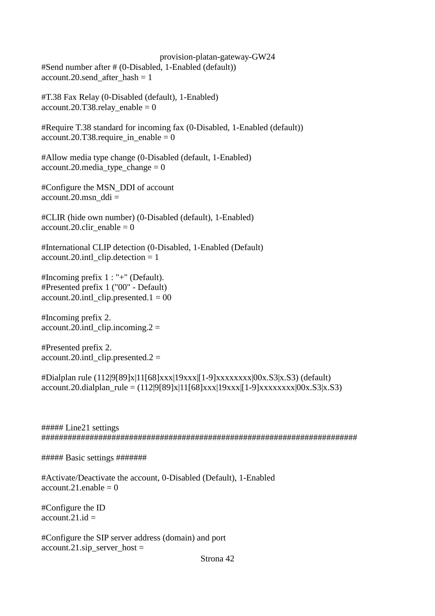provision-platan-gateway-GW24 #Send number after # (0-Disabled, 1-Enabled (default)) account.20.send after hash  $= 1$ 

#T.38 Fax Relay (0-Disabled (default), 1-Enabled)  $account.20.T38. relay\_enable = 0$ 

#Require T.38 standard for incoming fax (0-Disabled, 1-Enabled (default)) account.20.T38.require in enable =  $0$ 

#Allow media type change (0-Disabled (default, 1-Enabled)  $account.20.\\ media\_type\_change = 0$ 

#Configure the MSN\_DDI of account  $account.20.msn$  ddi =

#CLIR (hide own number) (0-Disabled (default), 1-Enabled) account.20.clir enable  $= 0$ 

#International CLIP detection (0-Disabled, 1-Enabled (Default) account.20.intl\_clip.detection = 1

#Incoming prefix 1 : "+" (Default). #Presented prefix 1 ("00" - Default)  $account.20.int\_clip.presented.1 = 00$ 

#Incoming prefix 2. account.20.intl clip.incoming.2 =

#Presented prefix 2.  $account.20.int$  clip.presented. $2 =$ 

#Dialplan rule (112|9[89]x|11[68]xxx|19xxx|[1-9]xxxxxxxx|00x.S3|x.S3) (default)  $account.20. dialplan\_rule = (112|9[89]x|11[68]xxx|19xxx|[1-9]xxxxxxx|00x.S3|x.S3)$ 

##### Line21 settings ########################################################################

##### Basic settings #######

#Activate/Deactivate the account, 0-Disabled (Default), 1-Enabled account. 21. enable  $= 0$ 

#Configure the ID account.21. $id =$ 

#Configure the SIP server address (domain) and port  $account.21.\text{sip\_server\_host} =$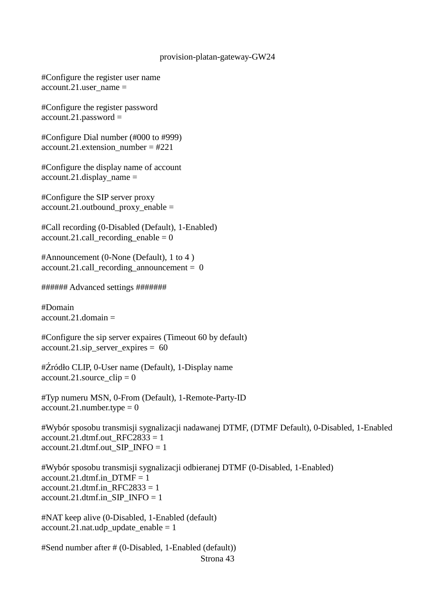#Configure the register user name account.21.user\_name =

#Configure the register password account.21.password =

#Configure Dial number (#000 to #999) account.21.extension\_number =  $\text{\#221}$ 

#Configure the display name of account  $account.21.$ display\_name =

#Configure the SIP server proxy  $account.21.outbound$   $proxy$   $enable =$ 

#Call recording (0-Disabled (Default), 1-Enabled) account.21.call recording enable  $= 0$ 

#Announcement (0-None (Default), 1 to 4 )  $account.21.call\_reording\_announcement = 0$ 

###### Advanced settings #######

#Domain  $account.21. domain =$ 

#Configure the sip server expaires (Timeout 60 by default)  $account.21.\text{sip\_server\_expires} = 60$ 

#Źródło CLIP, 0-User name (Default), 1-Display name account.21.source  $clip = 0$ 

#Typ numeru MSN, 0-From (Default), 1-Remote-Party-ID  $account.21.$ number.type = 0

#Wybór sposobu transmisji sygnalizacji nadawanej DTMF, (DTMF Default), 0-Disabled, 1-Enabled account.21.dtmf.out  $RFC2833 = 1$ account.21.dtmf.out SIP\_INFO = 1

#Wybór sposobu transmisji sygnalizacji odbieranej DTMF (0-Disabled, 1-Enabled)  $account.21.dtmf.inDTMF = 1$ account.21.dtmf.in  $RFC2833 = 1$ account.21.dtmf.in SIP\_INFO =  $1$ 

#NAT keep alive (0-Disabled, 1-Enabled (default)  $account.21.nat.$ udp\_update\_enable = 1

#Send number after # (0-Disabled, 1-Enabled (default)) Strona 43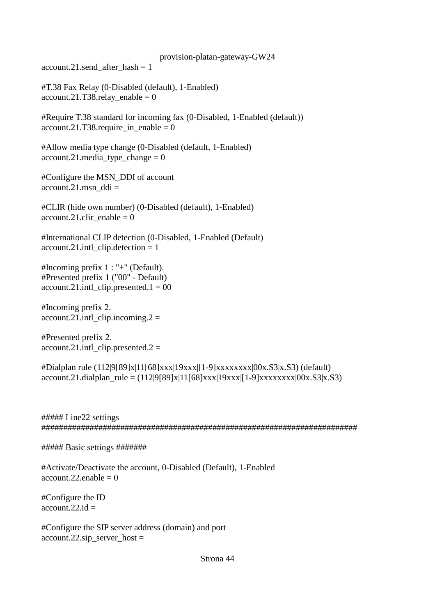account.21.send after hash  $= 1$ 

#T.38 Fax Relay (0-Disabled (default), 1-Enabled)  $account.21.T38. relay\_enable = 0$ 

#Require T.38 standard for incoming fax (0-Disabled, 1-Enabled (default)) account.21.T38.require\_in\_enable =  $0$ 

#Allow media type change (0-Disabled (default, 1-Enabled)  $account.21. media\_type\_change = 0$ 

#Configure the MSN\_DDI of account  $account.21.msn$  ddi =

#CLIR (hide own number) (0-Disabled (default), 1-Enabled)  $account.21.$ clir  $enable = 0$ 

#International CLIP detection (0-Disabled, 1-Enabled (Default)  $account.21.int1$  clip.detection = 1

#Incoming prefix 1 : "+" (Default). #Presented prefix 1 ("00" - Default) account.21.intl clip.presented.1 =  $00$ 

#Incoming prefix 2. account.21.intl clip.incoming.2 =

#Presented prefix 2.  $account.21.int\_clip.presented.2 =$ 

```
#Dialplan rule (112|9[89]x|11[68]xxx|19xxx|[1-9]xxxxxxxx|00x.S3|x.S3) (default)
account.21.dialplan_rule = (112|9[89]x|11[68]xxx|19xxx|1-9]xxxxxxx|00x.S3|x.S3)
```
##### Line22 settings ########################################################################

##### Basic settings #######

#Activate/Deactivate the account, 0-Disabled (Default), 1-Enabled  $account.22.enable = 0$ 

#Configure the ID  $account.22.id =$ 

#Configure the SIP server address (domain) and port account.22.sip server host =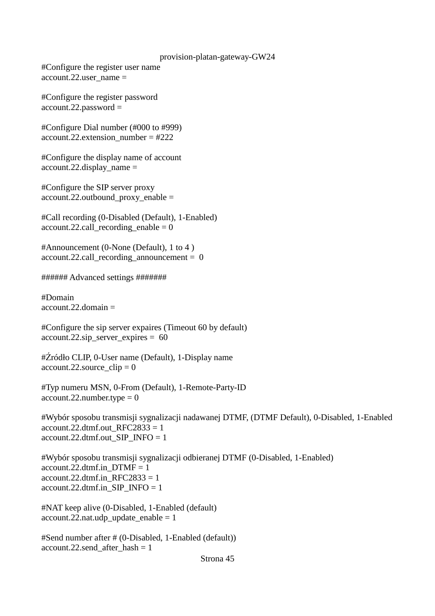#Configure the register user name  $account.22.$ user\_name =

#Configure the register password account.22.password =

#Configure Dial number (#000 to #999)  $account.22. extension number = #222$ 

#Configure the display name of account  $account.22.$ display\_name =

#Configure the SIP server proxy account.22.outbound\_proxy\_enable =

#Call recording (0-Disabled (Default), 1-Enabled)  $account.22.call\_recording\_enable = 0$ 

#Announcement (0-None (Default), 1 to 4 )  $account.22.call\_recording\_announcement = 0$ 

###### Advanced settings #######

#Domain  $account.22.$ domain  $=$ 

#Configure the sip server expaires (Timeout 60 by default)  $account.22.\text{sip\_server\_expires} = 60$ 

#Źródło CLIP, 0-User name (Default), 1-Display name account.22.source  $clip = 0$ 

#Typ numeru MSN, 0-From (Default), 1-Remote-Party-ID  $account.22_number.type = 0$ 

#Wybór sposobu transmisji sygnalizacji nadawanej DTMF, (DTMF Default), 0-Disabled, 1-Enabled account.22.dtmf.out  $RFC2833 = 1$ account.22.dtmf.out\_SIP\_INFO = 1

#Wybór sposobu transmisji sygnalizacji odbieranej DTMF (0-Disabled, 1-Enabled)  $account.22.dtmf.in_DTMF = 1$ account.22.dtmf.in  $RFC2833 = 1$  $account.22.dtmf.in$   $SIP$   $INFO = 1$ 

#NAT keep alive (0-Disabled, 1-Enabled (default)  $account.22.nat.udy\_update\_enable = 1$ 

#Send number after # (0-Disabled, 1-Enabled (default)) account.22.send after hash  $= 1$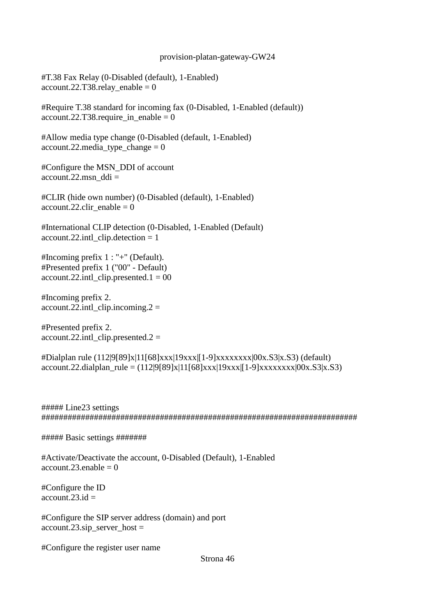#T.38 Fax Relay (0-Disabled (default), 1-Enabled) account.22.T38.relay\_enable =  $0$ 

#Require T.38 standard for incoming fax (0-Disabled, 1-Enabled (default)) account.22.T38.require in enable = 0

#Allow media type change (0-Disabled (default, 1-Enabled)  $account.22.\\median\_type\_change = 0$ 

#Configure the MSN\_DDI of account account.22.msn\_ddi =

#CLIR (hide own number) (0-Disabled (default), 1-Enabled) account.22.clir enable  $= 0$ 

#International CLIP detection (0-Disabled, 1-Enabled (Default)  $account.22.intl$  clip.detection = 1

#Incoming prefix 1 : "+" (Default). #Presented prefix 1 ("00" - Default)  $account.22.int\_clip.presented.1 = 00$ 

#Incoming prefix 2.  $account.22.int\_clip.incoming.2 =$ 

#Presented prefix 2.  $account.22.intLclip. presented.2 =$ 

#Dialplan rule (112|9[89]x|11[68]xxx|19xxx|[1-9]xxxxxxxx|00x.S3|x.S3) (default)  $account.22.dialplan\_rule = (112|9[89]x|11[68]xxx|19xxx|[1-9]xxxxxxxx|00x.S3|x.S3)$ 

##### Line23 settings ########################################################################

##### Basic settings #######

#Activate/Deactivate the account, 0-Disabled (Default), 1-Enabled  $account.23.enable = 0$ 

#Configure the ID  $account.23.id =$ 

#Configure the SIP server address (domain) and port  $account.23.\text{sip\_server\_host} =$ 

#Configure the register user name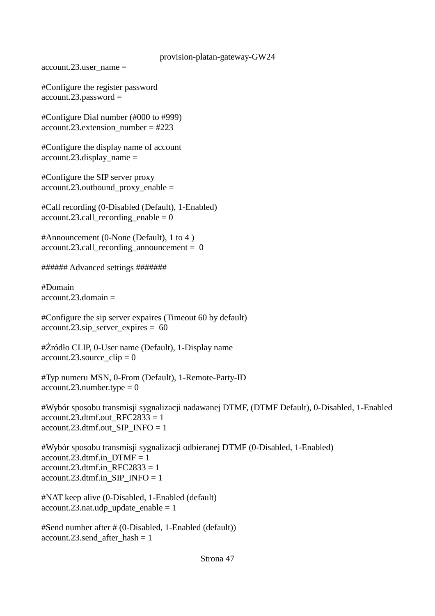account.23.user  $name =$ 

#Configure the register password account.23.password =

#Configure Dial number (#000 to #999)  $account.23. extension number = #223$ 

#Configure the display name of account  $account.23.$ display\_name =

#Configure the SIP server proxy account.23.outbound\_proxy\_enable =

#Call recording (0-Disabled (Default), 1-Enabled) account.23.call recording enable  $= 0$ 

#Announcement (0-None (Default), 1 to 4 )  $account.23.call recording announcement = 0$ 

###### Advanced settings #######

#Domain  $account.23.$ domain  $=$ 

#Configure the sip server expaires (Timeout 60 by default) account.23.sip\_server\_expires =  $60$ 

#Źródło CLIP, 0-User name (Default), 1-Display name  $account.23$ .source\_clip = 0

#Typ numeru MSN, 0-From (Default), 1-Remote-Party-ID  $account.23_number.type = 0$ 

#Wybór sposobu transmisji sygnalizacji nadawanej DTMF, (DTMF Default), 0-Disabled, 1-Enabled account.23.dtmf.out  $RFC2833 = 1$ account.23.dtmf.out\_SIP\_INFO = 1

#Wybór sposobu transmisji sygnalizacji odbieranej DTMF (0-Disabled, 1-Enabled) account.23.dtmf.in  $DTMF = 1$  $account.23.dtmf.in\_RFC2833 = 1$ account.23.dtmf.in SIP\_INFO = 1

#NAT keep alive (0-Disabled, 1-Enabled (default)  $account.23.nat.$ udp\_update\_enable = 1

#Send number after # (0-Disabled, 1-Enabled (default)) account.23.send after hash  $= 1$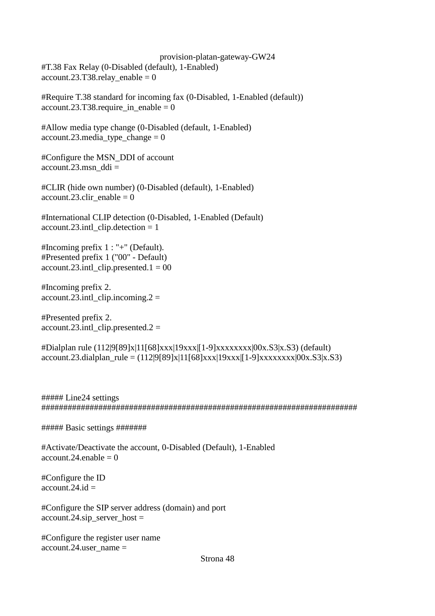provision-platan-gateway-GW24 #T.38 Fax Relay (0-Disabled (default), 1-Enabled)  $account.23.T38. relay\_enable = 0$ 

#Require T.38 standard for incoming fax (0-Disabled, 1-Enabled (default))  $account.23.T38.require_in\_enable = 0$ 

#Allow media type change (0-Disabled (default, 1-Enabled)  $account.23. media_type_change = 0$ 

#Configure the MSN\_DDI of account  $account.23.msn$  ddi =

#CLIR (hide own number) (0-Disabled (default), 1-Enabled) account.23.clir enable  $= 0$ 

#International CLIP detection (0-Disabled, 1-Enabled (Default)  $account.23.int[clip.detlection = 1]$ 

#Incoming prefix 1 : "+" (Default). #Presented prefix 1 ("00" - Default)  $account.23.int\_clip.presented.1 = 00$ 

#Incoming prefix 2.  $account.23.int\_clip.incoming.2 =$ 

#Presented prefix 2. account.23.intl clip.presented.2 =

#Dialplan rule (112|9[89]x|11[68]xxx|19xxx|[1-9]xxxxxxxx|00x.S3|x.S3) (default)  $account.23.dialplan\_rule = (112|9[89]x|11[68]xxx|19xxx|[1-9]xxxxxxxx|00x.S3|x.S3)$ 

##### Line24 settings ########################################################################

##### Basic settings #######

#Activate/Deactivate the account, 0-Disabled (Default), 1-Enabled account.  $24$  enable  $= 0$ 

#Configure the ID account.  $24$  id  $=$ 

#Configure the SIP server address (domain) and port  $account.24.\text{sip\_server\_host} =$ 

#Configure the register user name  $account.24.username =$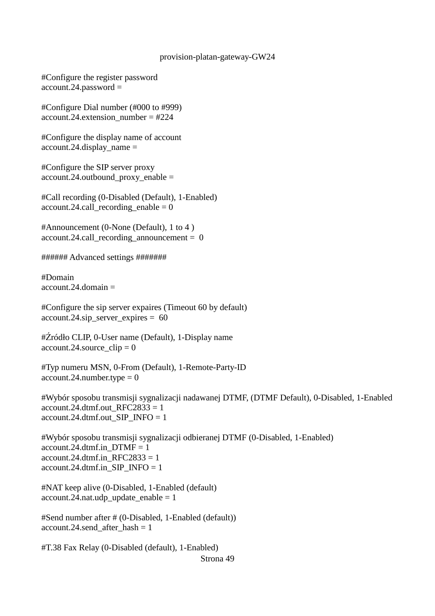#Configure the register password account.24.password =

#Configure Dial number (#000 to #999)  $account.24. extension number = #224$ 

#Configure the display name of account  $account.24. display_j$  name =

#Configure the SIP server proxy account.24.outbound\_proxy\_enable =

#Call recording (0-Disabled (Default), 1-Enabled) account.24.call recording enable  $= 0$ 

#Announcement (0-None (Default), 1 to 4 ) account.24.call\_recording\_announcement =  $0$ 

###### Advanced settings #######

#Domain account.  $24$ . domain  $=$ 

#Configure the sip server expaires (Timeout 60 by default) account.24.sip\_server\_expires =  $60$ 

#Źródło CLIP, 0-User name (Default), 1-Display name  $account.24$ .source\_clip = 0

#Typ numeru MSN, 0-From (Default), 1-Remote-Party-ID  $account.24.number.type = 0$ 

#Wybór sposobu transmisji sygnalizacji nadawanej DTMF, (DTMF Default), 0-Disabled, 1-Enabled account.24.dtmf.out\_RFC2833 = 1 account.24.dtmf.out SIP\_INFO =  $1$ 

#Wybór sposobu transmisji sygnalizacji odbieranej DTMF (0-Disabled, 1-Enabled) account.24.dtmf.in  $DTMF = 1$ account.24.dtmf.in  $RFC2833 = 1$  $account.24.dtmf.in_SIP_NFO = 1$ 

#NAT keep alive (0-Disabled, 1-Enabled (default) account.24.nat.udp update enable  $= 1$ 

#Send number after # (0-Disabled, 1-Enabled (default)) account.24.send after hash  $= 1$ 

#T.38 Fax Relay (0-Disabled (default), 1-Enabled) Strona 49